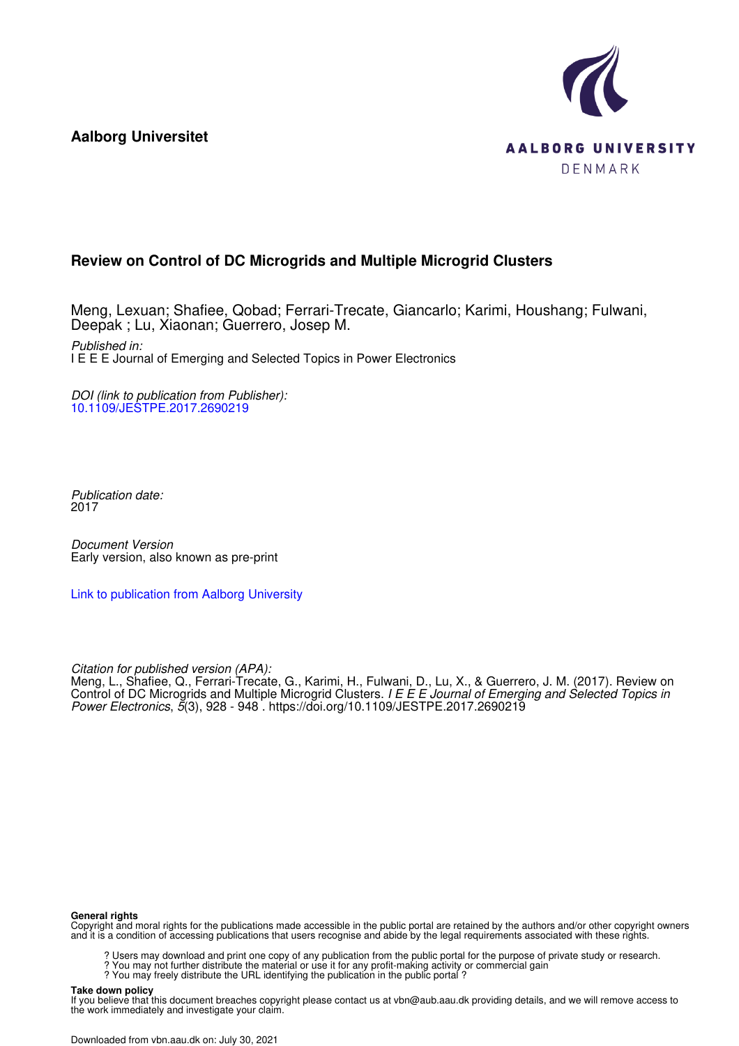**Aalborg Universitet**



# **Review on Control of DC Microgrids and Multiple Microgrid Clusters**

Meng, Lexuan; Shafiee, Qobad; Ferrari-Trecate, Giancarlo; Karimi, Houshang; Fulwani, Deepak ; Lu, Xiaonan; Guerrero, Josep M. Published in: I E E E Journal of Emerging and Selected Topics in Power Electronics

DOI (link to publication from Publisher): 10.1109/JESTPE.2017.2690219

Publication date: 2017

Document Version Early version, also known as pre-print

Link to publication from Aalborg University

Citation for published version (APA):

Meng, L., Shafiee, Q., Ferrari-Trecate, G., Karimi, H., Fulwani, D., Lu, X., & Guerrero, J. M. (2017). Review on Control of DC Microgrids and Multiple Microgrid Clusters. *I E E E Journal of Emerging and Selected Topics in* Power Electronics, 5(3), 928 - 948 . https://doi.org/10.1109/JESTPE.2017.2690219

#### **General rights**

Copyright and moral rights for the publications made accessible in the public portal are retained by the authors and/or other copyright owners and it is a condition of accessing publications that users recognise and abide by the legal requirements associated with these rights.

- ? Users may download and print one copy of any publication from the public portal for the purpose of private study or research.
- ? You may not further distribute the material or use it for any profit-making activity or commercial gain
- ? You may freely distribute the URL identifying the publication in the public portal ?

#### **Take down policy**

If you believe that this document breaches copyright please contact us at vbn@aub.aau.dk providing details, and we will remove access to the work immediately and investigate your claim.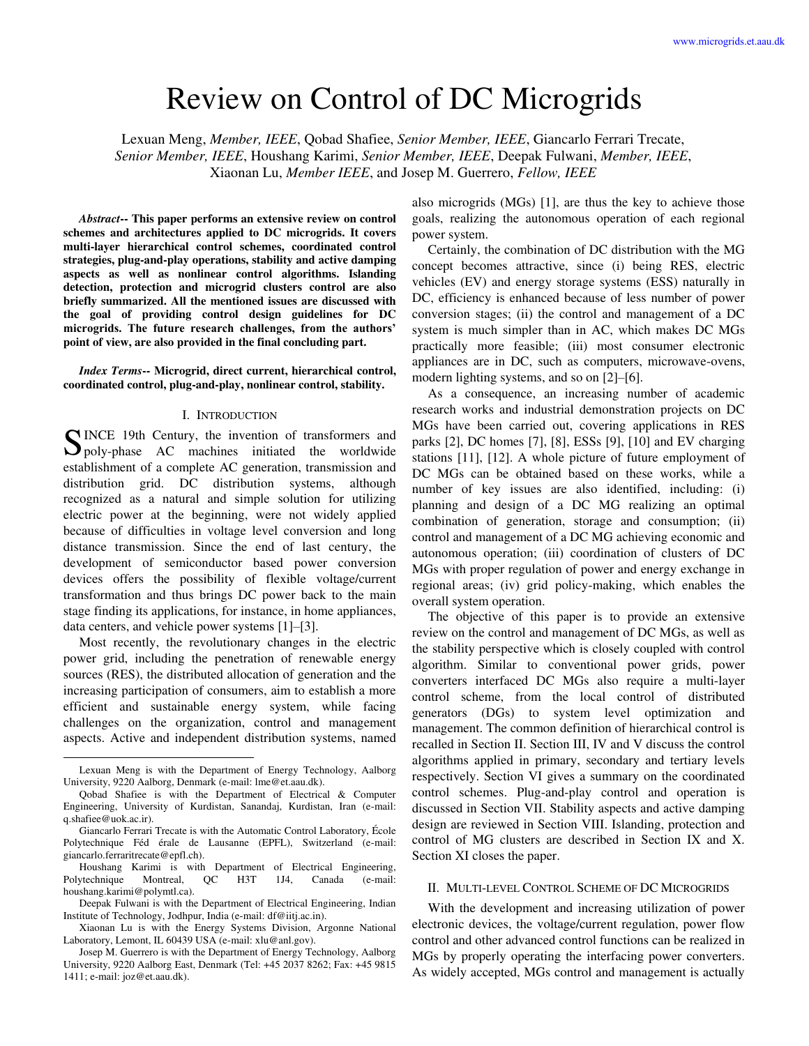# Review on Control of DC Microgrids

Lexuan Meng, *Member, IEEE*, Qobad Shafiee, *Senior Member, IEEE*, Giancarlo Ferrari Trecate, *Senior Member, IEEE*, Houshang Karimi, *Senior Member, IEEE*, Deepak Fulwani, *Member, IEEE*, Xiaonan Lu, *Member IEEE*, and Josep M. Guerrero, *Fellow, IEEE*

*Abstract***-- This paper performs an extensive review on control schemes and architectures applied to DC microgrids. It covers multi-layer hierarchical control schemes, coordinated control strategies, plug-and-play operations, stability and active damping aspects as well as nonlinear control algorithms. Islanding detection, protection and microgrid clusters control are also briefly summarized. All the mentioned issues are discussed with the goal of providing control design guidelines for DC microgrids. The future research challenges, from the authors' point of view, are also provided in the final concluding part.** 

*Index Terms***-- Microgrid, direct current, hierarchical control, coordinated control, plug-and-play, nonlinear control, stability.** 

#### I. INTRODUCTION

INCE 19th Century, the invention of transformers and SINCE 19th Century, the invention of transformers and poly-phase AC machines initiated the worldwide establishment of a complete AC generation, transmission and distribution grid. DC distribution systems, although recognized as a natural and simple solution for utilizing electric power at the beginning, were not widely applied because of difficulties in voltage level conversion and long distance transmission. Since the end of last century, the development of semiconductor based power conversion devices offers the possibility of flexible voltage/current transformation and thus brings DC power back to the main stage finding its applications, for instance, in home appliances, data centers, and vehicle power systems [1]–[3].

Most recently, the revolutionary changes in the electric power grid, including the penetration of renewable energy sources (RES), the distributed allocation of generation and the increasing participation of consumers, aim to establish a more efficient and sustainable energy system, while facing challenges on the organization, control and management aspects. Active and independent distribution systems, named

Houshang Karimi is with Department of Electrical Engineering,<br>vtechnique Montreal, OC H3T 1J4, Canada (e-mail: Polytechnique Montreal, QC H3T 1J4, Canada (e-mail: houshang.karimi@polymtl.ca).

also microgrids (MGs) [1], are thus the key to achieve those goals, realizing the autonomous operation of each regional power system.

Certainly, the combination of DC distribution with the MG concept becomes attractive, since (i) being RES, electric vehicles (EV) and energy storage systems (ESS) naturally in DC, efficiency is enhanced because of less number of power conversion stages; (ii) the control and management of a DC system is much simpler than in AC, which makes DC MGs practically more feasible; (iii) most consumer electronic appliances are in DC, such as computers, microwave-ovens, modern lighting systems, and so on [2]–[6].

As a consequence, an increasing number of academic research works and industrial demonstration projects on DC MGs have been carried out, covering applications in RES parks [2], DC homes [7], [8], ESSs [9], [10] and EV charging stations [11], [12]. A whole picture of future employment of DC MGs can be obtained based on these works, while a number of key issues are also identified, including: (i) planning and design of a DC MG realizing an optimal combination of generation, storage and consumption; (ii) control and management of a DC MG achieving economic and autonomous operation; (iii) coordination of clusters of DC MGs with proper regulation of power and energy exchange in regional areas; (iv) grid policy-making, which enables the overall system operation.

The objective of this paper is to provide an extensive review on the control and management of DC MGs, as well as the stability perspective which is closely coupled with control algorithm. Similar to conventional power grids, power converters interfaced DC MGs also require a multi-layer control scheme, from the local control of distributed generators (DGs) to system level optimization and management. The common definition of hierarchical control is recalled in Section II. Section III, IV and V discuss the control algorithms applied in primary, secondary and tertiary levels respectively. Section VI gives a summary on the coordinated control schemes. Plug-and-play control and operation is discussed in Section VII. Stability aspects and active damping design are reviewed in Section VIII. Islanding, protection and control of MG clusters are described in Section IX and X. Section XI closes the paper.

#### II. MULTI-LEVEL CONTROL SCHEME OF DC MICROGRIDS

With the development and increasing utilization of power electronic devices, the voltage/current regulation, power flow control and other advanced control functions can be realized in MGs by properly operating the interfacing power converters. As widely accepted, MGs control and management is actually

Lexuan Meng is with the Department of Energy Technology, Aalborg University, 9220 Aalborg, Denmark (e-mail: lme@et.aau.dk).

Qobad Shafiee is with the Department of Electrical & Computer Engineering, University of Kurdistan, Sanandaj, Kurdistan, Iran (e-mail: q.shafiee@uok.ac.ir).

Giancarlo Ferrari Trecate is with the Automatic Control Laboratory, École Polytechnique Féd érale de Lausanne (EPFL), Switzerland (e-mail: giancarlo.ferraritrecate@epfl.ch).

Deepak Fulwani is with the Department of Electrical Engineering, Indian Institute of Technology, Jodhpur, India (e-mail: df@iitj.ac.in).

Xiaonan Lu is with the Energy Systems Division, Argonne National Laboratory, Lemont, IL 60439 USA (e-mail: xlu@anl.gov).

Josep M. Guerrero is with the Department of Energy Technology, Aalborg University, 9220 Aalborg East, Denmark (Tel: +45 2037 8262; Fax: +45 9815 1411; e-mail: joz@et.aau.dk).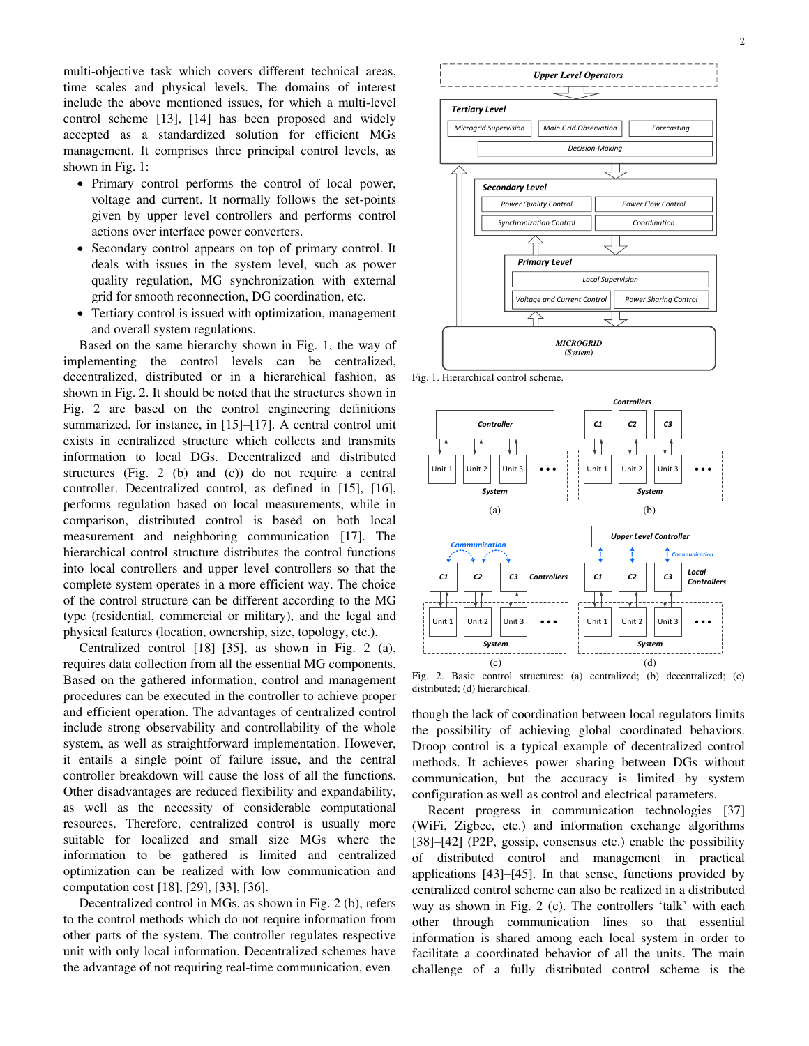multi-objective task which covers different technical areas, time scales and physical levels. The domains of interest include the above mentioned issues, for which a multi-level control scheme [13], [14] has been proposed and widely accepted as a standardized solution for efficient MGs management. It comprises three principal control levels, as shown in Fig. 1:

- Primary control performs the control of local power, voltage and current. It normally follows the set-points given by upper level controllers and performs control actions over interface power converters.
- Secondary control appears on top of primary control. It deals with issues in the system level, such as power quality regulation, MG synchronization with external grid for smooth reconnection, DG coordination, etc.
- Tertiary control is issued with optimization, management and overall system regulations.

Based on the same hierarchy shown in Fig. 1, the way of implementing the control levels can be centralized, decentralized, distributed or in a hierarchical fashion, as shown in Fig. 2. It should be noted that the structures shown in Fig. 2 are based on the control engineering definitions summarized, for instance, in [15]–[17]. A central control unit exists in centralized structure which collects and transmits information to local DGs. Decentralized and distributed structures (Fig. 2 (b) and (c)) do not require a central controller. Decentralized control, as defined in [15], [16], performs regulation based on local measurements, while in comparison, distributed control is based on both local measurement and neighboring communication [17]. The hierarchical control structure distributes the control functions into local controllers and upper level controllers so that the complete system operates in a more efficient way. The choice of the control structure can be different according to the MG type (residential, commercial or military), and the legal and physical features (location, ownership, size, topology, etc.).

Centralized control [18]–[35], as shown in Fig. 2 (a), requires data collection from all the essential MG components. Based on the gathered information, control and management procedures can be executed in the controller to achieve proper and efficient operation. The advantages of centralized control include strong observability and controllability of the whole system, as well as straightforward implementation. However, it entails a single point of failure issue, and the central controller breakdown will cause the loss of all the functions. Other disadvantages are reduced flexibility and expandability, as well as the necessity of considerable computational resources. Therefore, centralized control is usually more suitable for localized and small size MGs where the information to be gathered is limited and centralized optimization can be realized with low communication and computation cost [18], [29], [33], [36].

Decentralized control in MGs, as shown in Fig. 2 (b), refers to the control methods which do not require information from other parts of the system. The controller regulates respective unit with only local information. Decentralized schemes have the advantage of not requiring real-time communication, even



Fig. 1. Hierarchical control scheme.



Fig. 2. Basic control structures: (a) centralized; (b) decentralized; (c) distributed; (d) hierarchical.

though the lack of coordination between local regulators limits the possibility of achieving global coordinated behaviors. Droop control is a typical example of decentralized control methods. It achieves power sharing between DGs without communication, but the accuracy is limited by system configuration as well as control and electrical parameters.

Recent progress in communication technologies [37] (WiFi, Zigbee, etc.) and information exchange algorithms [38]–[42] (P2P, gossip, consensus etc.) enable the possibility of distributed control and management in practical applications [43]–[45]. In that sense, functions provided by centralized control scheme can also be realized in a distributed way as shown in Fig. 2 (c). The controllers 'talk' with each other through communication lines so that essential information is shared among each local system in order to facilitate a coordinated behavior of all the units. The main challenge of a fully distributed control scheme is the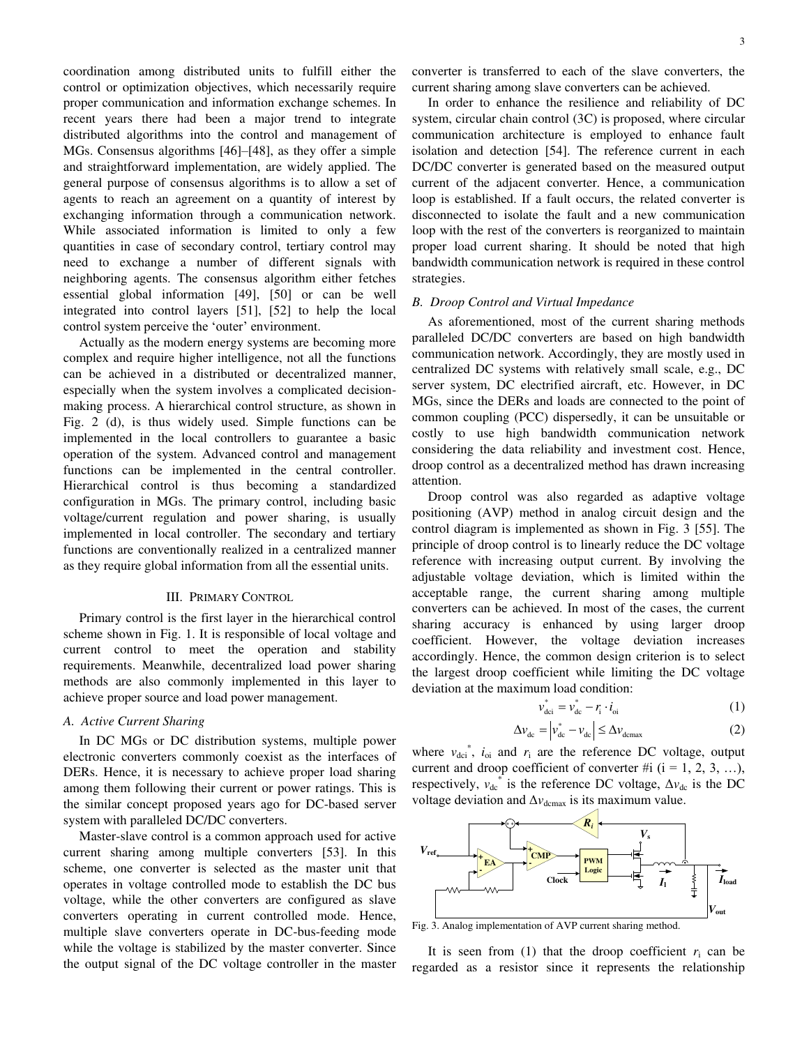coordination among distributed units to fulfill either the control or optimization objectives, which necessarily require proper communication and information exchange schemes. In recent years there had been a major trend to integrate distributed algorithms into the control and management of MGs. Consensus algorithms [46]–[48], as they offer a simple and straightforward implementation, are widely applied. The general purpose of consensus algorithms is to allow a set of agents to reach an agreement on a quantity of interest by exchanging information through a communication network. While associated information is limited to only a few quantities in case of secondary control, tertiary control may need to exchange a number of different signals with neighboring agents. The consensus algorithm either fetches essential global information [49], [50] or can be well integrated into control layers [51], [52] to help the local control system perceive the 'outer' environment.

Actually as the modern energy systems are becoming more complex and require higher intelligence, not all the functions can be achieved in a distributed or decentralized manner, especially when the system involves a complicated decisionmaking process. A hierarchical control structure, as shown in Fig. 2 (d), is thus widely used. Simple functions can be implemented in the local controllers to guarantee a basic operation of the system. Advanced control and management functions can be implemented in the central controller. Hierarchical control is thus becoming a standardized configuration in MGs. The primary control, including basic voltage/current regulation and power sharing, is usually implemented in local controller. The secondary and tertiary functions are conventionally realized in a centralized manner as they require global information from all the essential units.

## III. PRIMARY CONTROL

Primary control is the first layer in the hierarchical control scheme shown in Fig. 1. It is responsible of local voltage and current control to meet the operation and stability requirements. Meanwhile, decentralized load power sharing methods are also commonly implemented in this layer to achieve proper source and load power management.

## *A. Active Current Sharing*

In DC MGs or DC distribution systems, multiple power electronic converters commonly coexist as the interfaces of DERs. Hence, it is necessary to achieve proper load sharing among them following their current or power ratings. This is the similar concept proposed years ago for DC-based server system with paralleled DC/DC converters.

Master-slave control is a common approach used for active current sharing among multiple converters [53]. In this scheme, one converter is selected as the master unit that operates in voltage controlled mode to establish the DC bus voltage, while the other converters are configured as slave converters operating in current controlled mode. Hence, multiple slave converters operate in DC-bus-feeding mode while the voltage is stabilized by the master converter. Since the output signal of the DC voltage controller in the master

converter is transferred to each of the slave converters, the current sharing among slave converters can be achieved.

In order to enhance the resilience and reliability of DC system, circular chain control (3C) is proposed, where circular communication architecture is employed to enhance fault isolation and detection [54]. The reference current in each DC/DC converter is generated based on the measured output current of the adjacent converter. Hence, a communication loop is established. If a fault occurs, the related converter is disconnected to isolate the fault and a new communication loop with the rest of the converters is reorganized to maintain proper load current sharing. It should be noted that high bandwidth communication network is required in these control strategies.

## *B. Droop Control and Virtual Impedance*

As aforementioned, most of the current sharing methods paralleled DC/DC converters are based on high bandwidth communication network. Accordingly, they are mostly used in centralized DC systems with relatively small scale, e.g., DC server system, DC electrified aircraft, etc. However, in DC MGs, since the DERs and loads are connected to the point of common coupling (PCC) dispersedly, it can be unsuitable or costly to use high bandwidth communication network considering the data reliability and investment cost. Hence, droop control as a decentralized method has drawn increasing attention.

Droop control was also regarded as adaptive voltage positioning (AVP) method in analog circuit design and the control diagram is implemented as shown in Fig. 3 [55]. The principle of droop control is to linearly reduce the DC voltage reference with increasing output current. By involving the adjustable voltage deviation, which is limited within the acceptable range, the current sharing among multiple converters can be achieved. In most of the cases, the current sharing accuracy is enhanced by using larger droop coefficient. However, the voltage deviation increases accordingly. Hence, the common design criterion is to select the largest droop coefficient while limiting the DC voltage deviation at the maximum load condition:

$$
v_{\text{dci}}^* = v_{\text{d}}^* - r_{\text{i}} \cdot i_{\text{o}i} \tag{1}
$$

$$
\Delta v_{\rm dc} = \left| v_{\rm dc}^* - v_{\rm dc} \right| \le \Delta v_{\rm demax} \tag{2}
$$

where  $v_{\text{dei}}^*$ ,  $i_{\text{o}i}$  and  $r_i$  are the reference DC voltage, output current and droop coefficient of converter #i  $(i = 1, 2, 3, ...)$ , respectively,  $v_{dc}^*$  is the reference DC voltage,  $\Delta v_{dc}$  is the DC voltage deviation and  $\Delta v_{\text{demax}}$  is its maximum value.



Fig. 3. Analog implementation of AVP current sharing method.

It is seen from  $(1)$  that the droop coefficient  $r_i$  can be regarded as a resistor since it represents the relationship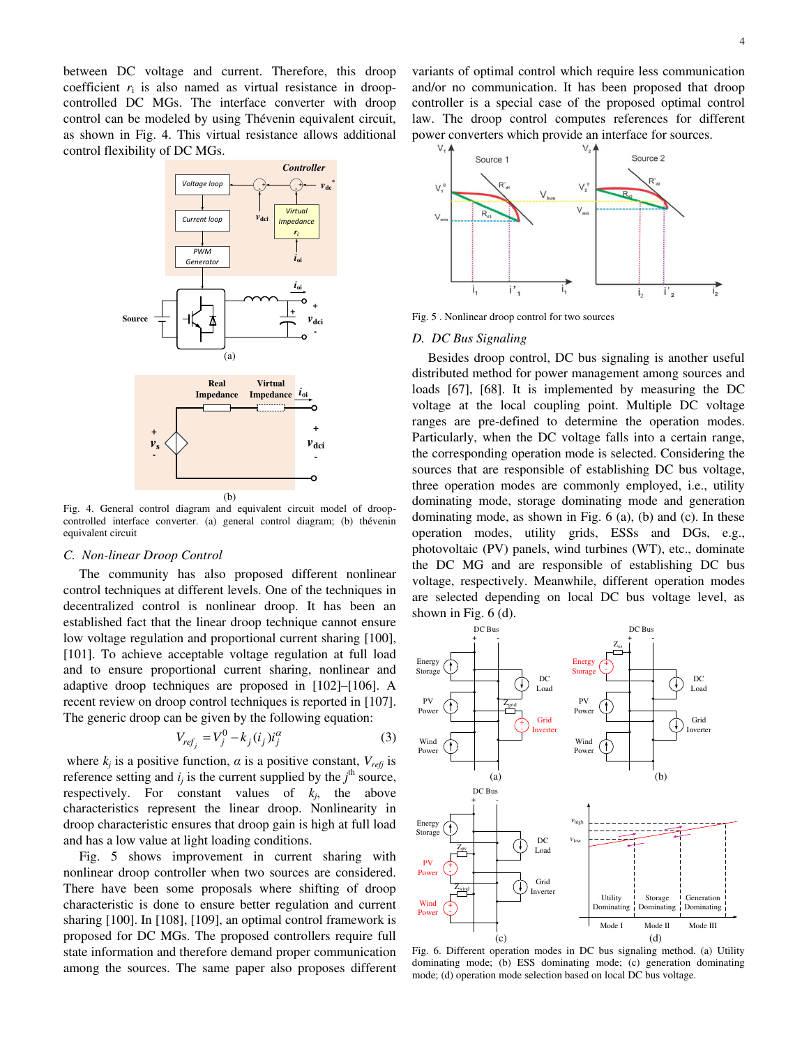between DC voltage and current. Therefore, this droop coefficient  $r_i$  is also named as virtual resistance in droopcontrolled DC MGs. The interface converter with droop control can be modeled by using Thévenin equivalent circuit, as shown in Fig. 4. This virtual resistance allows additional control flexibility of DC MGs.



Fig. 4. General control diagram and equivalent circuit model of droopcontrolled interface converter. (a) general control diagram; (b) thévenin equivalent circuit

#### *C. Non-linear Droop Control*

The community has also proposed different nonlinear control techniques at different levels. One of the techniques in decentralized control is nonlinear droop. It has been an established fact that the linear droop technique cannot ensure low voltage regulation and proportional current sharing [100], [101]. To achieve acceptable voltage regulation at full load and to ensure proportional current sharing, nonlinear and adaptive droop techniques are proposed in [102]–[106]. A recent review on droop control techniques is reported in [107]. The generic droop can be given by the following equation:

$$
V_{ref_j} = V_j^0 - k_j(i_j)i_j^{\alpha}
$$
 (3)

where  $k_j$  is a positive function,  $\alpha$  is a positive constant,  $V_{\text{refj}}$  is reference setting and  $i_j$  is the current supplied by the  $j^{\text{th}}$  source, respectively. For constant values of  $k_j$ , the above characteristics represent the linear droop. Nonlinearity in droop characteristic ensures that droop gain is high at full load and has a low value at light loading conditions.

Fig. 5 shows improvement in current sharing with nonlinear droop controller when two sources are considered. There have been some proposals where shifting of droop characteristic is done to ensure better regulation and current sharing [100]. In [108], [109], an optimal control framework is proposed for DC MGs. The proposed controllers require full state information and therefore demand proper communication among the sources. The same paper also proposes different

variants of optimal control which require less communication and/or no communication. It has been proposed that droop controller is a special case of the proposed optimal control law. The droop control computes references for different power converters which provide an interface for sources.



Fig. 5 . Nonlinear droop control for two sources

#### *D. DC Bus Signaling*

Besides droop control, DC bus signaling is another useful distributed method for power management among sources and loads [67], [68]. It is implemented by measuring the DC voltage at the local coupling point. Multiple DC voltage ranges are pre-defined to determine the operation modes. Particularly, when the DC voltage falls into a certain range, the corresponding operation mode is selected. Considering the sources that are responsible of establishing DC bus voltage, three operation modes are commonly employed, i.e., utility dominating mode, storage dominating mode and generation dominating mode, as shown in Fig. 6 (a), (b) and (c). In these operation modes, utility grids, ESSs and DGs, e.g., photovoltaic (PV) panels, wind turbines (WT), etc., dominate the DC MG and are responsible of establishing DC bus voltage, respectively. Meanwhile, different operation modes are selected depending on local DC bus voltage level, as shown in Fig.  $6$  (d).



Fig. 6. Different operation modes in DC bus signaling method. (a) Utility dominating mode; (b) ESS dominating mode; (c) generation dominating mode; (d) operation mode selection based on local DC bus voltage.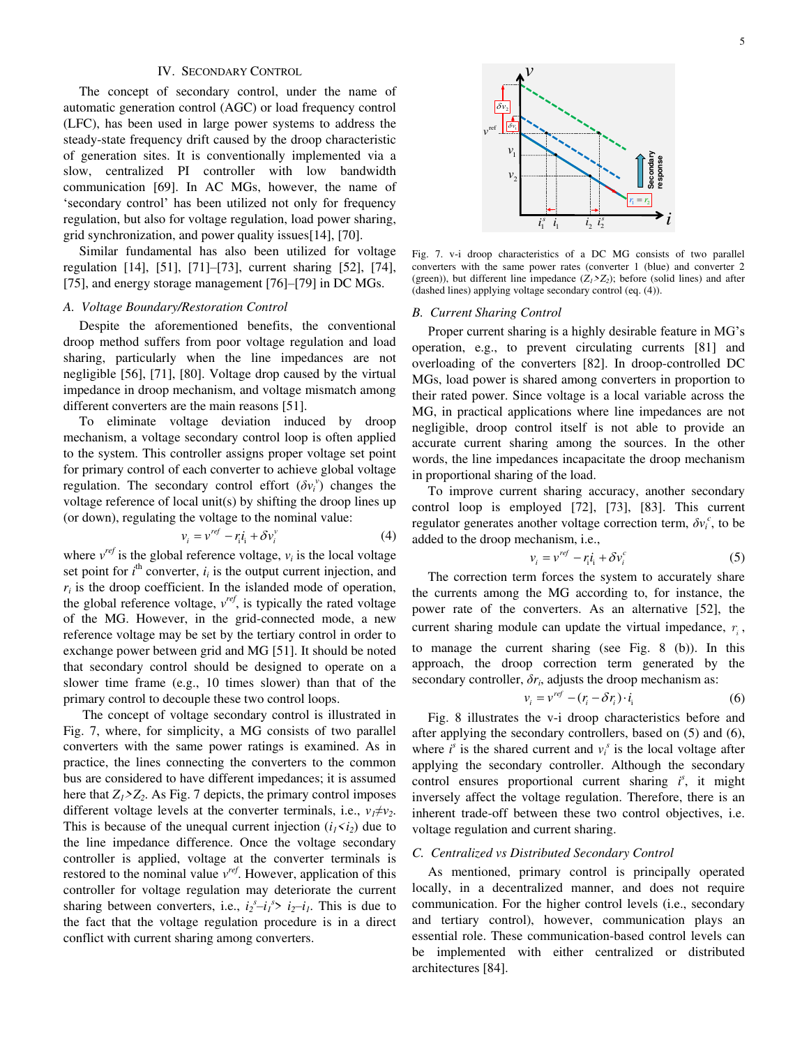## IV. SECONDARY CONTROL

The concept of secondary control, under the name of automatic generation control (AGC) or load frequency control (LFC), has been used in large power systems to address the steady-state frequency drift caused by the droop characteristic of generation sites. It is conventionally implemented via a slow, centralized PI controller with low bandwidth communication [69]. In AC MGs, however, the name of 'secondary control' has been utilized not only for frequency regulation, but also for voltage regulation, load power sharing, grid synchronization, and power quality issues[14], [70].

Similar fundamental has also been utilized for voltage regulation [14], [51], [71]–[73], current sharing [52], [74], [75], and energy storage management [76]–[79] in DC MGs.

# *A. Voltage Boundary/Restoration Control*

Despite the aforementioned benefits, the conventional droop method suffers from poor voltage regulation and load sharing, particularly when the line impedances are not negligible [56], [71], [80]. Voltage drop caused by the virtual impedance in droop mechanism, and voltage mismatch among different converters are the main reasons [51].

To eliminate voltage deviation induced by droop mechanism, a voltage secondary control loop is often applied to the system. This controller assigns proper voltage set point for primary control of each converter to achieve global voltage regulation. The secondary control effort  $(\delta v_i^{\nu})$  changes the voltage reference of local unit(s) by shifting the droop lines up (or down), regulating the voltage to the nominal value:

$$
v_i = v^{ref} - r_i i_i + \delta v_i^v \tag{4}
$$

where  $v^{ref}$  is the global reference voltage,  $v_i$  is the local voltage set point for  $i^{\text{th}}$  converter,  $i_i$  is the output current injection, and  $r_i$  is the droop coefficient. In the islanded mode of operation, the global reference voltage,  $v^{ref}$ , is typically the rated voltage of the MG. However, in the grid-connected mode, a new reference voltage may be set by the tertiary control in order to exchange power between grid and MG [51]. It should be noted that secondary control should be designed to operate on a slower time frame (e.g., 10 times slower) than that of the primary control to decouple these two control loops.

 The concept of voltage secondary control is illustrated in Fig. 7, where, for simplicity, a MG consists of two parallel converters with the same power ratings is examined. As in practice, the lines connecting the converters to the common bus are considered to have different impedances; it is assumed here that  $Z_1$ > $Z_2$ . As Fig. 7 depicts, the primary control imposes different voltage levels at the converter terminals, i.e.,  $v_1 \neq v_2$ . This is because of the unequal current injection  $(i_1 \le i_2)$  due to the line impedance difference. Once the voltage secondary controller is applied, voltage at the converter terminals is restored to the nominal value *v ref*. However, application of this controller for voltage regulation may deteriorate the current sharing between converters, i.e.,  $i_2^{s-1} - i_1^{s} > i_2 - i_1$ . This is due to the fact that the voltage regulation procedure is in a direct conflict with current sharing among converters.



Fig. 7. v-i droop characteristics of a DC MG consists of two parallel converters with the same power rates (converter 1 (blue) and converter 2 (green)), but different line impedance  $(Z_1 \ge Z_2)$ ; before (solid lines) and after (dashed lines) applying voltage secondary control (eq. (4)).

#### *B. Current Sharing Control*

Proper current sharing is a highly desirable feature in MG's operation, e.g., to prevent circulating currents [81] and overloading of the converters [82]. In droop-controlled DC MGs, load power is shared among converters in proportion to their rated power. Since voltage is a local variable across the MG, in practical applications where line impedances are not negligible, droop control itself is not able to provide an accurate current sharing among the sources. In the other words, the line impedances incapacitate the droop mechanism in proportional sharing of the load.

To improve current sharing accuracy, another secondary control loop is employed [72], [73], [83]. This current regulator generates another voltage correction term,  $\delta v_i^c$ , to be added to the droop mechanism, i.e.,

$$
v_i = v^{ref} - r_i i_i + \delta v_i^c \tag{5}
$$

The correction term forces the system to accurately share the currents among the MG according to, for instance, the power rate of the converters. As an alternative [52], the current sharing module can update the virtual impedance,  $r_i$ , to manage the current sharing (see Fig. 8 (b)). In this approach, the droop correction term generated by the secondary controller,  $\delta r_i$ , adjusts the droop mechanism as:

$$
v_i = v^{ref} - (r_i - \delta r_i) \cdot i_i \tag{6}
$$

Fig. 8 illustrates the v-i droop characteristics before and after applying the secondary controllers, based on (5) and (6), where  $i^s$  is the shared current and  $v_i^s$  is the local voltage after applying the secondary controller. Although the secondary control ensures proportional current sharing  $i^s$ , it might inversely affect the voltage regulation. Therefore, there is an inherent trade-off between these two control objectives, i.e. voltage regulation and current sharing.

#### *C. Centralized vs Distributed Secondary Control*

As mentioned, primary control is principally operated locally, in a decentralized manner, and does not require communication. For the higher control levels (i.e., secondary and tertiary control), however, communication plays an essential role. These communication-based control levels can be implemented with either centralized or distributed architectures [84].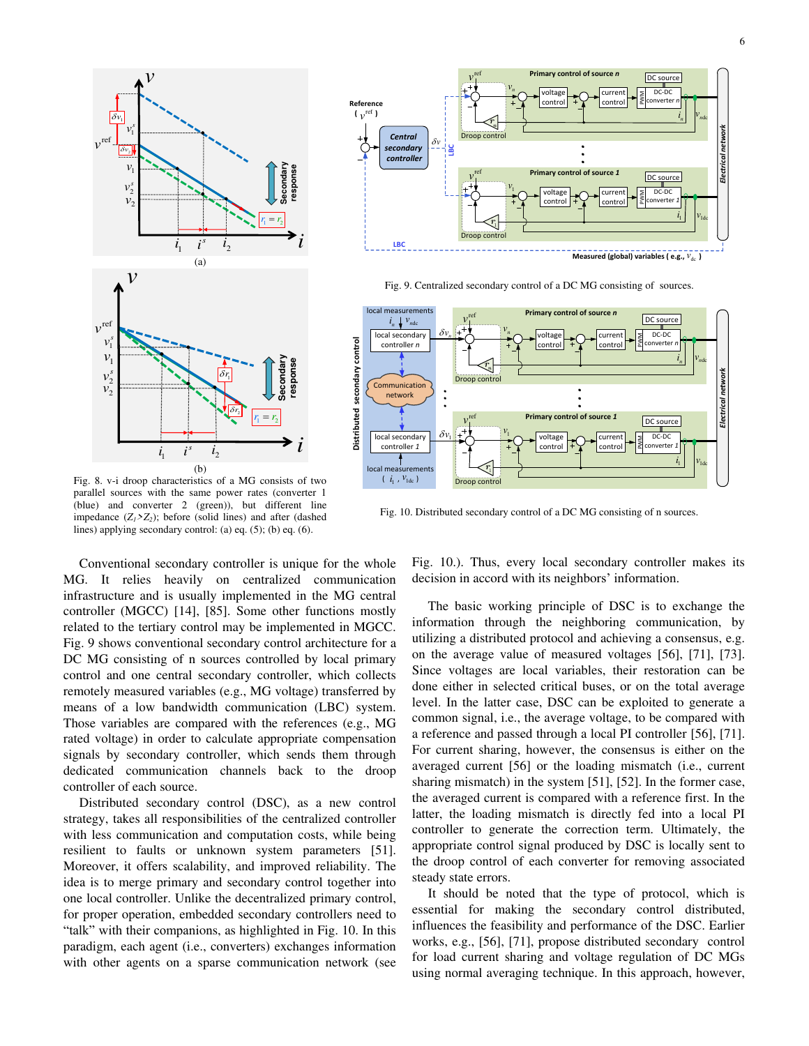

Droop control *Central secondary controller* ref *v* **LBC Primary control of source** *<sup>1</sup> . . .* voltage control 1 *r* 1 *i* 1 *v*  $v_{1dc}$ ( $v^{\text{ref}}$ ) *Electrical network* **Measured (global) variables (e.g.,**  $v_{dc}$ **)** Droop control current control ref *v* **Primary control of source** *n* P<br>M DC-DC converter *n*  $\overline{\phantom{a}}$ voltage control *n r n i n v*  $v_{\text{ndc}}$ DC source curren control P<br>Mg DC-DC converter *1* DC source **LBC**  $\delta v$ **Reference** 

Fig. 9. Centralized secondary control of a DC MG consisting of sources.



Fig. 8. v-i droop characteristics of a MG consists of two parallel sources with the same power rates (converter 1 (blue) and converter 2 (green)), but different line impedance  $(Z_1 > Z_2)$ ; before (solid lines) and after (dashed lines) applying secondary control: (a) eq. (5); (b) eq. (6).

Conventional secondary controller is unique for the whole MG. It relies heavily on centralized communication infrastructure and is usually implemented in the MG central controller (MGCC) [14], [85]. Some other functions mostly related to the tertiary control may be implemented in MGCC. Fig. 9 shows conventional secondary control architecture for a DC MG consisting of n sources controlled by local primary control and one central secondary controller, which collects remotely measured variables (e.g., MG voltage) transferred by means of a low bandwidth communication (LBC) system. Those variables are compared with the references (e.g., MG rated voltage) in order to calculate appropriate compensation signals by secondary controller, which sends them through dedicated communication channels back to the droop controller of each source.

Distributed secondary control (DSC), as a new control strategy, takes all responsibilities of the centralized controller with less communication and computation costs, while being resilient to faults or unknown system parameters [51]. Moreover, it offers scalability, and improved reliability. The idea is to merge primary and secondary control together into one local controller. Unlike the decentralized primary control, for proper operation, embedded secondary controllers need to "talk" with their companions, as highlighted in Fig. 10. In this paradigm, each agent (i.e., converters) exchanges information with other agents on a sparse communication network (see

Fig. 10. Distributed secondary control of a DC MG consisting of n sources.

Fig. 10.). Thus, every local secondary controller makes its decision in accord with its neighbors' information.

The basic working principle of DSC is to exchange the information through the neighboring communication, by utilizing a distributed protocol and achieving a consensus, e.g. on the average value of measured voltages [56], [71], [73]. Since voltages are local variables, their restoration can be done either in selected critical buses, or on the total average level. In the latter case, DSC can be exploited to generate a common signal, i.e., the average voltage, to be compared with a reference and passed through a local PI controller [56], [71]. For current sharing, however, the consensus is either on the averaged current [56] or the loading mismatch (i.e., current sharing mismatch) in the system [51], [52]. In the former case, the averaged current is compared with a reference first. In the latter, the loading mismatch is directly fed into a local PI controller to generate the correction term. Ultimately, the appropriate control signal produced by DSC is locally sent to the droop control of each converter for removing associated steady state errors.

It should be noted that the type of protocol, which is essential for making the secondary control distributed, influences the feasibility and performance of the DSC. Earlier works, e.g., [56], [71], propose distributed secondary control for load current sharing and voltage regulation of DC MGs using normal averaging technique. In this approach, however,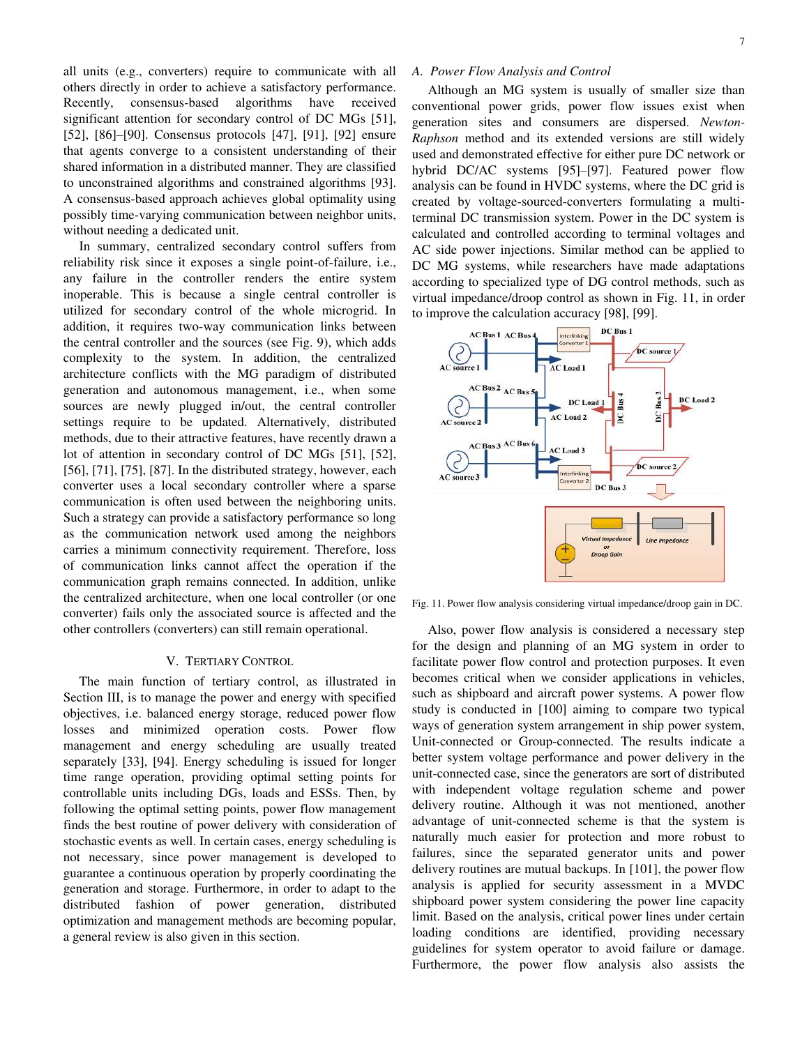all units (e.g., converters) require to communicate with all others directly in order to achieve a satisfactory performance. Recently, consensus-based algorithms have received significant attention for secondary control of DC MGs [51], [52], [86]–[90]. Consensus protocols [47], [91], [92] ensure that agents converge to a consistent understanding of their shared information in a distributed manner. They are classified to unconstrained algorithms and constrained algorithms [93]. A consensus-based approach achieves global optimality using possibly time-varying communication between neighbor units, without needing a dedicated unit.

In summary, centralized secondary control suffers from reliability risk since it exposes a single point-of-failure, i.e., any failure in the controller renders the entire system inoperable. This is because a single central controller is utilized for secondary control of the whole microgrid. In addition, it requires two-way communication links between the central controller and the sources (see Fig. 9), which adds complexity to the system. In addition, the centralized architecture conflicts with the MG paradigm of distributed generation and autonomous management, i.e., when some sources are newly plugged in/out, the central controller settings require to be updated. Alternatively, distributed methods, due to their attractive features, have recently drawn a lot of attention in secondary control of DC MGs [51], [52], [56], [71], [75], [87]. In the distributed strategy, however, each converter uses a local secondary controller where a sparse communication is often used between the neighboring units. Such a strategy can provide a satisfactory performance so long as the communication network used among the neighbors carries a minimum connectivity requirement. Therefore, loss of communication links cannot affect the operation if the communication graph remains connected. In addition, unlike the centralized architecture, when one local controller (or one converter) fails only the associated source is affected and the other controllers (converters) can still remain operational.

#### V. TERTIARY CONTROL

The main function of tertiary control, as illustrated in Section III, is to manage the power and energy with specified objectives, i.e. balanced energy storage, reduced power flow losses and minimized operation costs. Power flow management and energy scheduling are usually treated separately [33], [94]. Energy scheduling is issued for longer time range operation, providing optimal setting points for controllable units including DGs, loads and ESSs. Then, by following the optimal setting points, power flow management finds the best routine of power delivery with consideration of stochastic events as well. In certain cases, energy scheduling is not necessary, since power management is developed to guarantee a continuous operation by properly coordinating the generation and storage. Furthermore, in order to adapt to the distributed fashion of power generation, distributed optimization and management methods are becoming popular, a general review is also given in this section.

# *A. Power Flow Analysis and Control*

Although an MG system is usually of smaller size than conventional power grids, power flow issues exist when generation sites and consumers are dispersed. *Newton-Raphson* method and its extended versions are still widely used and demonstrated effective for either pure DC network or hybrid DC/AC systems [95]–[97]. Featured power flow analysis can be found in HVDC systems, where the DC grid is created by voltage-sourced-converters formulating a multiterminal DC transmission system. Power in the DC system is calculated and controlled according to terminal voltages and AC side power injections. Similar method can be applied to DC MG systems, while researchers have made adaptations according to specialized type of DG control methods, such as virtual impedance/droop control as shown in Fig. 11, in order to improve the calculation accuracy [98], [99].



Fig. 11. Power flow analysis considering virtual impedance/droop gain in DC.

Also, power flow analysis is considered a necessary step for the design and planning of an MG system in order to facilitate power flow control and protection purposes. It even becomes critical when we consider applications in vehicles, such as shipboard and aircraft power systems. A power flow study is conducted in [100] aiming to compare two typical ways of generation system arrangement in ship power system, Unit-connected or Group-connected. The results indicate a better system voltage performance and power delivery in the unit-connected case, since the generators are sort of distributed with independent voltage regulation scheme and power delivery routine. Although it was not mentioned, another advantage of unit-connected scheme is that the system is naturally much easier for protection and more robust to failures, since the separated generator units and power delivery routines are mutual backups. In [101], the power flow analysis is applied for security assessment in a MVDC shipboard power system considering the power line capacity limit. Based on the analysis, critical power lines under certain loading conditions are identified, providing necessary guidelines for system operator to avoid failure or damage. Furthermore, the power flow analysis also assists the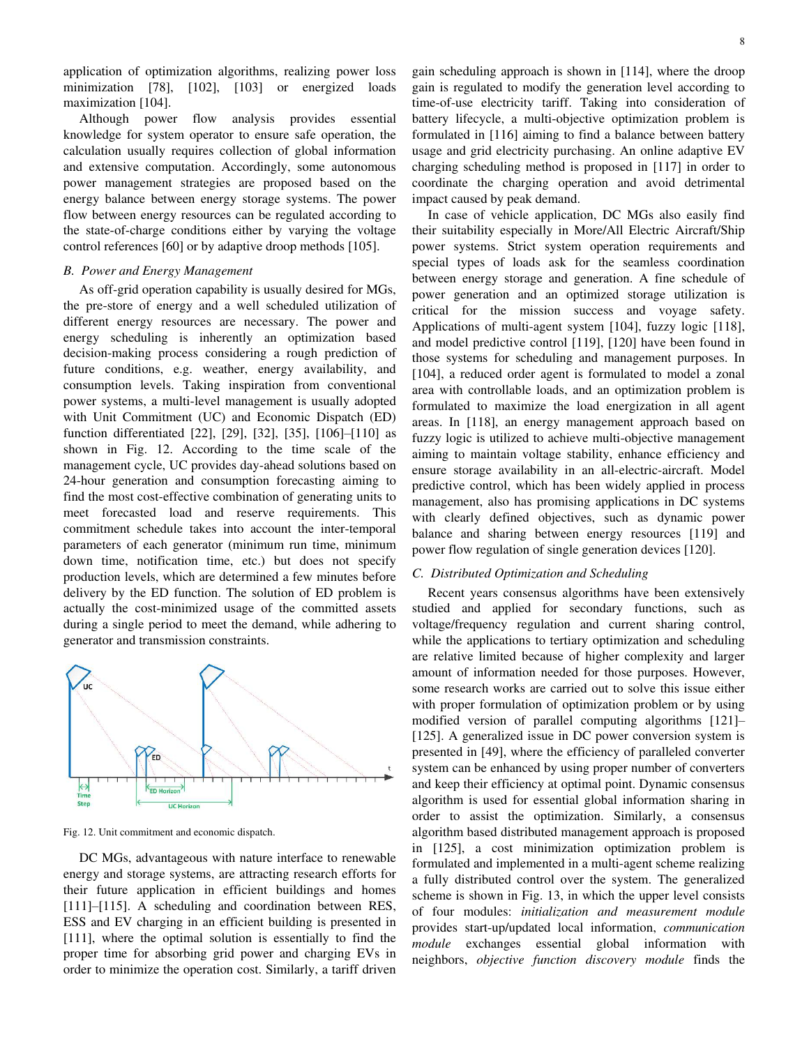application of optimization algorithms, realizing power loss minimization [78], [102], [103] or energized loads maximization [104].

Although power flow analysis provides essential knowledge for system operator to ensure safe operation, the calculation usually requires collection of global information and extensive computation. Accordingly, some autonomous power management strategies are proposed based on the energy balance between energy storage systems. The power flow between energy resources can be regulated according to the state-of-charge conditions either by varying the voltage control references [60] or by adaptive droop methods [105].

## *B. Power and Energy Management*

As off-grid operation capability is usually desired for MGs, the pre-store of energy and a well scheduled utilization of different energy resources are necessary. The power and energy scheduling is inherently an optimization based decision-making process considering a rough prediction of future conditions, e.g. weather, energy availability, and consumption levels. Taking inspiration from conventional power systems, a multi-level management is usually adopted with Unit Commitment (UC) and Economic Dispatch (ED) function differentiated [22], [29], [32], [35], [106]–[110] as shown in Fig. 12. According to the time scale of the management cycle, UC provides day-ahead solutions based on 24-hour generation and consumption forecasting aiming to find the most cost-effective combination of generating units to meet forecasted load and reserve requirements. This commitment schedule takes into account the inter-temporal parameters of each generator (minimum run time, minimum down time, notification time, etc.) but does not specify production levels, which are determined a few minutes before delivery by the ED function. The solution of ED problem is actually the cost-minimized usage of the committed assets during a single period to meet the demand, while adhering to generator and transmission constraints.



Fig. 12. Unit commitment and economic dispatch.

DC MGs, advantageous with nature interface to renewable energy and storage systems, are attracting research efforts for their future application in efficient buildings and homes [111]–[115]. A scheduling and coordination between RES, ESS and EV charging in an efficient building is presented in [111], where the optimal solution is essentially to find the proper time for absorbing grid power and charging EVs in order to minimize the operation cost. Similarly, a tariff driven

gain scheduling approach is shown in [114], where the droop gain is regulated to modify the generation level according to time-of-use electricity tariff. Taking into consideration of battery lifecycle, a multi-objective optimization problem is formulated in [116] aiming to find a balance between battery usage and grid electricity purchasing. An online adaptive EV charging scheduling method is proposed in [117] in order to coordinate the charging operation and avoid detrimental impact caused by peak demand.

In case of vehicle application, DC MGs also easily find their suitability especially in More/All Electric Aircraft/Ship power systems. Strict system operation requirements and special types of loads ask for the seamless coordination between energy storage and generation. A fine schedule of power generation and an optimized storage utilization is critical for the mission success and voyage safety. Applications of multi-agent system [104], fuzzy logic [118], and model predictive control [119], [120] have been found in those systems for scheduling and management purposes. In [104], a reduced order agent is formulated to model a zonal area with controllable loads, and an optimization problem is formulated to maximize the load energization in all agent areas. In [118], an energy management approach based on fuzzy logic is utilized to achieve multi-objective management aiming to maintain voltage stability, enhance efficiency and ensure storage availability in an all-electric-aircraft. Model predictive control, which has been widely applied in process management, also has promising applications in DC systems with clearly defined objectives, such as dynamic power balance and sharing between energy resources [119] and power flow regulation of single generation devices [120].

# *C. Distributed Optimization and Scheduling*

Recent years consensus algorithms have been extensively studied and applied for secondary functions, such as voltage/frequency regulation and current sharing control, while the applications to tertiary optimization and scheduling are relative limited because of higher complexity and larger amount of information needed for those purposes. However, some research works are carried out to solve this issue either with proper formulation of optimization problem or by using modified version of parallel computing algorithms [121]– [125]. A generalized issue in DC power conversion system is presented in [49], where the efficiency of paralleled converter system can be enhanced by using proper number of converters and keep their efficiency at optimal point. Dynamic consensus algorithm is used for essential global information sharing in order to assist the optimization. Similarly, a consensus algorithm based distributed management approach is proposed in [125], a cost minimization optimization problem is formulated and implemented in a multi-agent scheme realizing a fully distributed control over the system. The generalized scheme is shown in Fig. 13, in which the upper level consists of four modules: *initialization and measurement module* provides start-up/updated local information, *communication module* exchanges essential global information with neighbors, *objective function discovery module* finds the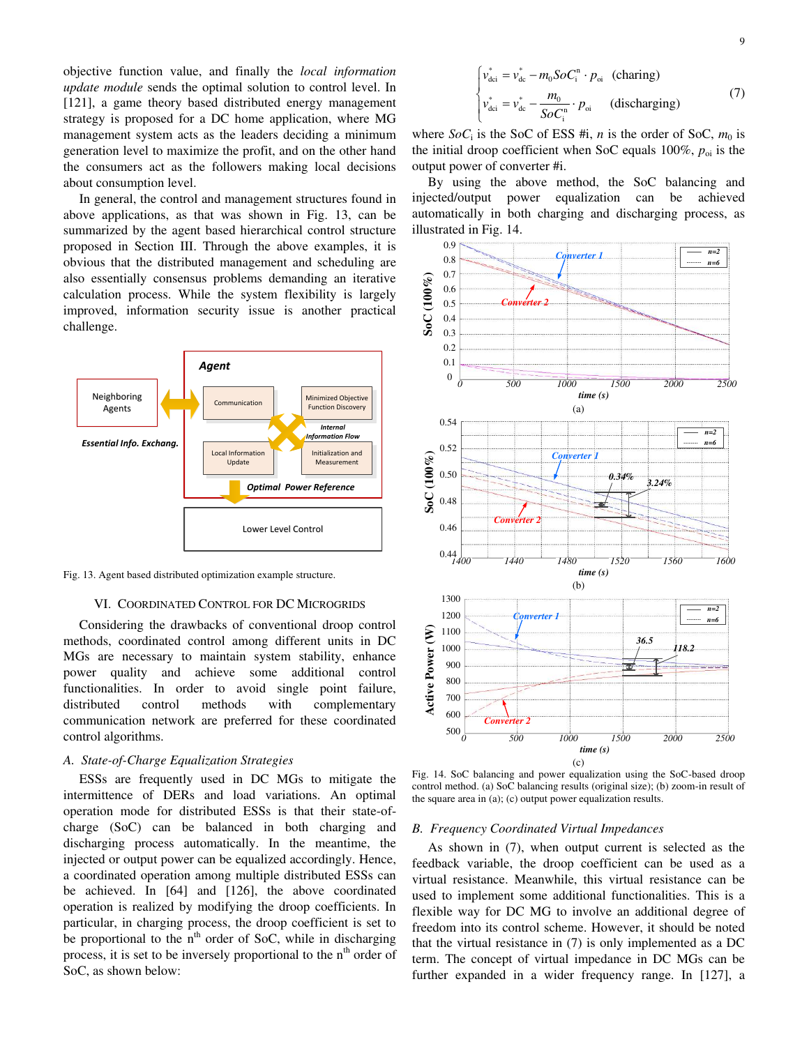objective function value, and finally the *local information update module* sends the optimal solution to control level. In [121], a game theory based distributed energy management strategy is proposed for a DC home application, where MG management system acts as the leaders deciding a minimum generation level to maximize the profit, and on the other hand the consumers act as the followers making local decisions about consumption level.

In general, the control and management structures found in above applications, as that was shown in Fig. 13, can be summarized by the agent based hierarchical control structure proposed in Section III. Through the above examples, it is obvious that the distributed management and scheduling are also essentially consensus problems demanding an iterative calculation process. While the system flexibility is largely improved, information security issue is another practical challenge.



Fig. 13. Agent based distributed optimization example structure.

# VI. COORDINATED CONTROL FOR DC MICROGRIDS

Considering the drawbacks of conventional droop control methods, coordinated control among different units in DC MGs are necessary to maintain system stability, enhance power quality and achieve some additional control functionalities. In order to avoid single point failure, distributed control methods with complementary communication network are preferred for these coordinated control algorithms.

# *A. State-of-Charge Equalization Strategies*

ESSs are frequently used in DC MGs to mitigate the intermittence of DERs and load variations. An optimal operation mode for distributed ESSs is that their state-ofcharge (SoC) can be balanced in both charging and discharging process automatically. In the meantime, the injected or output power can be equalized accordingly. Hence, a coordinated operation among multiple distributed ESSs can be achieved. In [64] and [126], the above coordinated operation is realized by modifying the droop coefficients. In particular, in charging process, the droop coefficient is set to be proportional to the  $n<sup>th</sup>$  order of SoC, while in discharging process, it is set to be inversely proportional to the  $n<sup>th</sup>$  order of SoC, as shown below:

$$
\begin{cases}\nv_{\text{dci}}^* = v_{\text{dc}}^* - m_0 \text{So} C_i^n \cdot p_{\text{oi}} \quad \text{(charging)} \\
v_{\text{dci}}^* = v_{\text{dc}}^* - \frac{m_0}{\text{So} C_i^n} \cdot p_{\text{oi}} \quad \text{(discharging)}\n\end{cases} \tag{7}
$$

where  $SoC<sub>i</sub>$  is the SoC of ESS #i, *n* is the order of SoC,  $m<sub>0</sub>$  is the initial droop coefficient when SoC equals  $100\%$ ,  $p_{oi}$  is the output power of converter #i.

By using the above method, the SoC balancing and injected/output power equalization can be achieved automatically in both charging and discharging process, as illustrated in Fig. 14.



Fig. 14. SoC balancing and power equalization using the SoC-based droop control method. (a) SoC balancing results (original size); (b) zoom-in result of the square area in (a); (c) output power equalization results.

#### *B. Frequency Coordinated Virtual Impedances*

As shown in (7), when output current is selected as the feedback variable, the droop coefficient can be used as a virtual resistance. Meanwhile, this virtual resistance can be used to implement some additional functionalities. This is a flexible way for DC MG to involve an additional degree of freedom into its control scheme. However, it should be noted that the virtual resistance in (7) is only implemented as a DC term. The concept of virtual impedance in DC MGs can be further expanded in a wider frequency range. In [127], a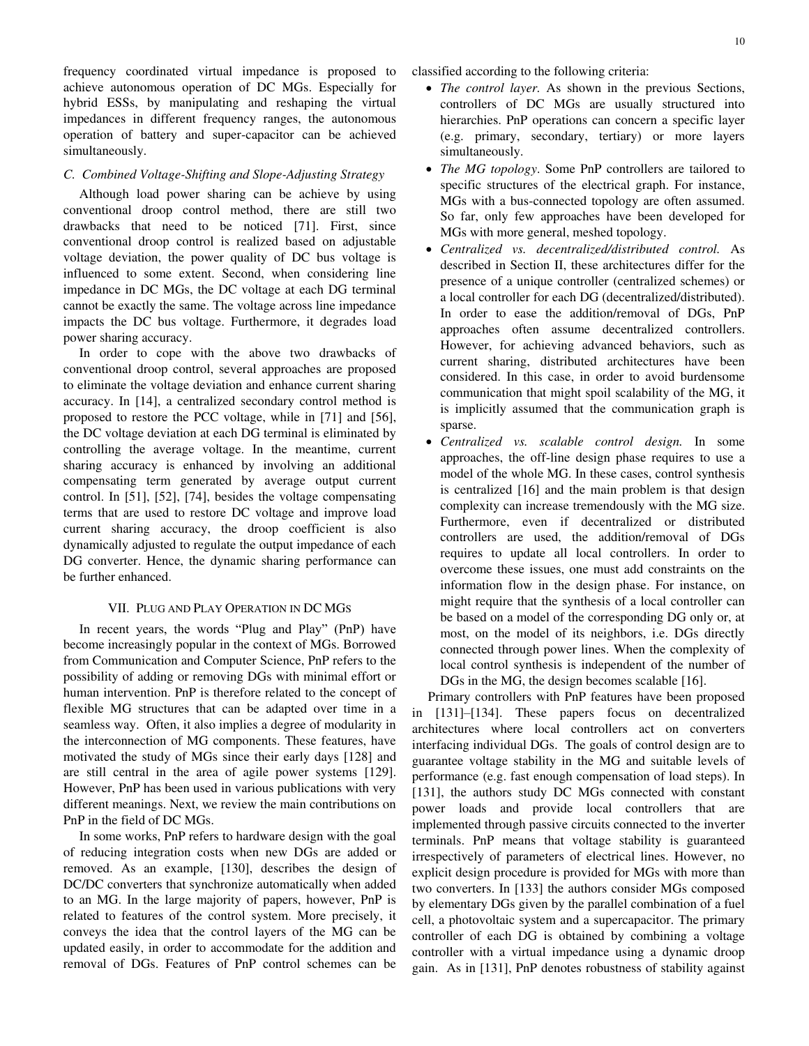frequency coordinated virtual impedance is proposed to achieve autonomous operation of DC MGs. Especially for hybrid ESSs, by manipulating and reshaping the virtual impedances in different frequency ranges, the autonomous operation of battery and super-capacitor can be achieved simultaneously.

# *C. Combined Voltage-Shifting and Slope-Adjusting Strategy*

Although load power sharing can be achieve by using conventional droop control method, there are still two drawbacks that need to be noticed [71]. First, since conventional droop control is realized based on adjustable voltage deviation, the power quality of DC bus voltage is influenced to some extent. Second, when considering line impedance in DC MGs, the DC voltage at each DG terminal cannot be exactly the same. The voltage across line impedance impacts the DC bus voltage. Furthermore, it degrades load power sharing accuracy.

In order to cope with the above two drawbacks of conventional droop control, several approaches are proposed to eliminate the voltage deviation and enhance current sharing accuracy. In [14], a centralized secondary control method is proposed to restore the PCC voltage, while in [71] and [56], the DC voltage deviation at each DG terminal is eliminated by controlling the average voltage. In the meantime, current sharing accuracy is enhanced by involving an additional compensating term generated by average output current control. In [51], [52], [74], besides the voltage compensating terms that are used to restore DC voltage and improve load current sharing accuracy, the droop coefficient is also dynamically adjusted to regulate the output impedance of each DG converter. Hence, the dynamic sharing performance can be further enhanced.

# VII. PLUG AND PLAY OPERATION IN DC MGS

In recent years, the words "Plug and Play" (PnP) have become increasingly popular in the context of MGs. Borrowed from Communication and Computer Science, PnP refers to the possibility of adding or removing DGs with minimal effort or human intervention. PnP is therefore related to the concept of flexible MG structures that can be adapted over time in a seamless way. Often, it also implies a degree of modularity in the interconnection of MG components. These features, have motivated the study of MGs since their early days [128] and are still central in the area of agile power systems [129]. However, PnP has been used in various publications with very different meanings. Next, we review the main contributions on PnP in the field of DC MGs.

In some works, PnP refers to hardware design with the goal of reducing integration costs when new DGs are added or removed. As an example, [130], describes the design of DC/DC converters that synchronize automatically when added to an MG. In the large majority of papers, however, PnP is related to features of the control system. More precisely, it conveys the idea that the control layers of the MG can be updated easily, in order to accommodate for the addition and removal of DGs. Features of PnP control schemes can be classified according to the following criteria:

- *The control layer.* As shown in the previous Sections, controllers of DC MGs are usually structured into hierarchies. PnP operations can concern a specific layer (e.g. primary, secondary, tertiary) or more layers simultaneously.
- *The MG topology*. Some PnP controllers are tailored to specific structures of the electrical graph. For instance, MGs with a bus-connected topology are often assumed. So far, only few approaches have been developed for MGs with more general, meshed topology.
- *Centralized vs. decentralized/distributed control.* As described in Section II, these architectures differ for the presence of a unique controller (centralized schemes) or a local controller for each DG (decentralized/distributed). In order to ease the addition/removal of DGs, PnP approaches often assume decentralized controllers. However, for achieving advanced behaviors, such as current sharing, distributed architectures have been considered. In this case, in order to avoid burdensome communication that might spoil scalability of the MG, it is implicitly assumed that the communication graph is sparse.
- *Centralized vs. scalable control design.* In some approaches, the off-line design phase requires to use a model of the whole MG. In these cases, control synthesis is centralized [16] and the main problem is that design complexity can increase tremendously with the MG size. Furthermore, even if decentralized or distributed controllers are used, the addition/removal of DGs requires to update all local controllers. In order to overcome these issues, one must add constraints on the information flow in the design phase. For instance, on might require that the synthesis of a local controller can be based on a model of the corresponding DG only or, at most, on the model of its neighbors, i.e. DGs directly connected through power lines. When the complexity of local control synthesis is independent of the number of DGs in the MG, the design becomes scalable [16].

Primary controllers with PnP features have been proposed in [131]–[134]. These papers focus on decentralized architectures where local controllers act on converters interfacing individual DGs. The goals of control design are to guarantee voltage stability in the MG and suitable levels of performance (e.g. fast enough compensation of load steps). In [131], the authors study DC MGs connected with constant power loads and provide local controllers that are implemented through passive circuits connected to the inverter terminals. PnP means that voltage stability is guaranteed irrespectively of parameters of electrical lines. However, no explicit design procedure is provided for MGs with more than two converters. In [133] the authors consider MGs composed by elementary DGs given by the parallel combination of a fuel cell, a photovoltaic system and a supercapacitor. The primary controller of each DG is obtained by combining a voltage controller with a virtual impedance using a dynamic droop gain. As in [131], PnP denotes robustness of stability against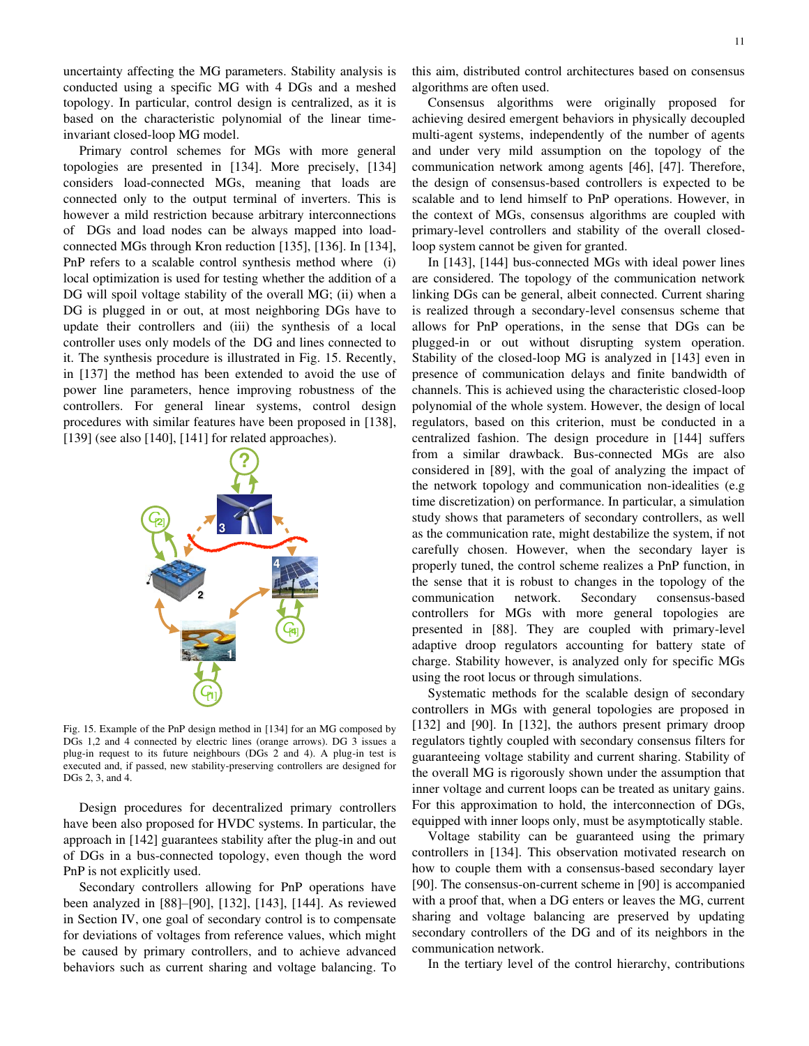uncertainty affecting the MG parameters. Stability analysis is conducted using a specific MG with 4 DGs and a meshed topology. In particular, control design is centralized, as it is based on the characteristic polynomial of the linear timeinvariant closed-loop MG model.

Primary control schemes for MGs with more general topologies are presented in [134]. More precisely, [134] considers load-connected MGs, meaning that loads are connected only to the output terminal of inverters. This is however a mild restriction because arbitrary interconnections of DGs and load nodes can be always mapped into loadconnected MGs through Kron reduction [135], [136]. In [134], PnP refers to a scalable control synthesis method where (i) local optimization is used for testing whether the addition of a DG will spoil voltage stability of the overall MG; (ii) when a DG is plugged in or out, at most neighboring DGs have to update their controllers and (iii) the synthesis of a local controller uses only models of the DG and lines connected to it. The synthesis procedure is illustrated in Fig. 15. Recently, in [137] the method has been extended to avoid the use of power line parameters, hence improving robustness of the controllers. For general linear systems, control design procedures with similar features have been proposed in [138],  $[139]$  (see also  $[140]$ ,  $[141]$  for related approaches).



Fig. 15. Example of the PnP design method in [134] for an MG composed by DGs 1,2 and 4 connected by electric lines (orange arrows). DG 3 issues a plug-in request to its future neighbours (DGs 2 and 4). A plug-in test is executed and, if passed, new stability-preserving controllers are designed for DGs 2, 3, and 4.

Design procedures for decentralized primary controllers have been also proposed for HVDC systems. In particular, the approach in [142] guarantees stability after the plug-in and out of DGs in a bus-connected topology, even though the word PnP is not explicitly used.

Secondary controllers allowing for PnP operations have been analyzed in [88]–[90], [132], [143], [144]. As reviewed in Section IV, one goal of secondary control is to compensate for deviations of voltages from reference values, which might be caused by primary controllers, and to achieve advanced behaviors such as current sharing and voltage balancing. To this aim, distributed control architectures based on consensus algorithms are often used.

Consensus algorithms were originally proposed for achieving desired emergent behaviors in physically decoupled multi-agent systems, independently of the number of agents and under very mild assumption on the topology of the communication network among agents [46], [47]. Therefore, the design of consensus-based controllers is expected to be scalable and to lend himself to PnP operations. However, in the context of MGs, consensus algorithms are coupled with primary-level controllers and stability of the overall closedloop system cannot be given for granted.

In [143], [144] bus-connected MGs with ideal power lines are considered. The topology of the communication network linking DGs can be general, albeit connected. Current sharing is realized through a secondary-level consensus scheme that allows for PnP operations, in the sense that DGs can be plugged-in or out without disrupting system operation. Stability of the closed-loop MG is analyzed in [143] even in presence of communication delays and finite bandwidth of channels. This is achieved using the characteristic closed-loop polynomial of the whole system. However, the design of local regulators, based on this criterion, must be conducted in a centralized fashion. The design procedure in [144] suffers from a similar drawback. Bus-connected MGs are also considered in [89], with the goal of analyzing the impact of the network topology and communication non-idealities (e.g time discretization) on performance. In particular, a simulation study shows that parameters of secondary controllers, as well as the communication rate, might destabilize the system, if not carefully chosen. However, when the secondary layer is properly tuned, the control scheme realizes a PnP function, in the sense that it is robust to changes in the topology of the communication network. Secondary consensus-based controllers for MGs with more general topologies are presented in [88]. They are coupled with primary-level adaptive droop regulators accounting for battery state of charge. Stability however, is analyzed only for specific MGs using the root locus or through simulations.

Systematic methods for the scalable design of secondary controllers in MGs with general topologies are proposed in [132] and [90]. In [132], the authors present primary droop regulators tightly coupled with secondary consensus filters for guaranteeing voltage stability and current sharing. Stability of the overall MG is rigorously shown under the assumption that inner voltage and current loops can be treated as unitary gains. For this approximation to hold, the interconnection of DGs, equipped with inner loops only, must be asymptotically stable.

Voltage stability can be guaranteed using the primary controllers in [134]. This observation motivated research on how to couple them with a consensus-based secondary layer [90]. The consensus-on-current scheme in [90] is accompanied with a proof that, when a DG enters or leaves the MG, current sharing and voltage balancing are preserved by updating secondary controllers of the DG and of its neighbors in the communication network.

In the tertiary level of the control hierarchy, contributions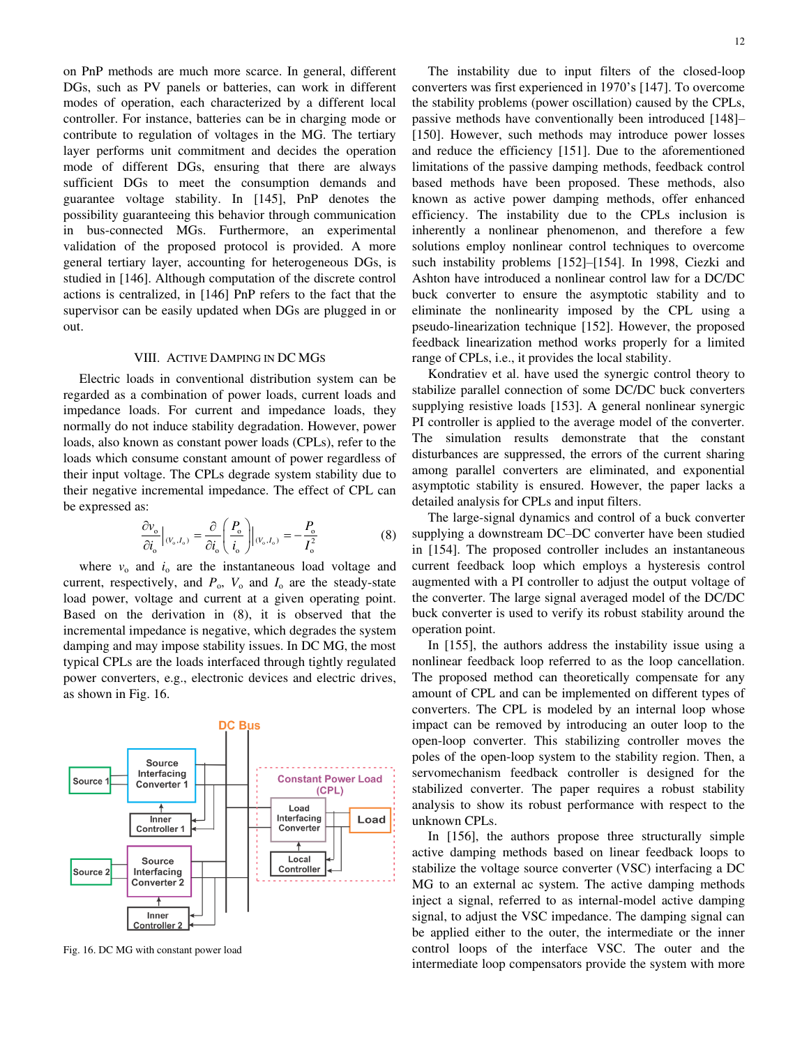on PnP methods are much more scarce. In general, different DGs, such as PV panels or batteries, can work in different modes of operation, each characterized by a different local controller. For instance, batteries can be in charging mode or contribute to regulation of voltages in the MG. The tertiary layer performs unit commitment and decides the operation mode of different DGs, ensuring that there are always sufficient DGs to meet the consumption demands and guarantee voltage stability. In [145], PnP denotes the possibility guaranteeing this behavior through communication in bus-connected MGs. Furthermore, an experimental validation of the proposed protocol is provided. A more general tertiary layer, accounting for heterogeneous DGs, is studied in [146]. Although computation of the discrete control actions is centralized, in [146] PnP refers to the fact that the supervisor can be easily updated when DGs are plugged in or out.

#### VIII. ACTIVE DAMPING IN DC MGS

Electric loads in conventional distribution system can be regarded as a combination of power loads, current loads and impedance loads. For current and impedance loads, they normally do not induce stability degradation. However, power loads, also known as constant power loads (CPLs), refer to the loads which consume constant amount of power regardless of their input voltage. The CPLs degrade system stability due to their negative incremental impedance. The effect of CPL can be expressed as:

$$
\frac{\partial v_{\text{o}}}{\partial \dot{\boldsymbol{i}}_{\text{o}}}\Big|_{(V_{\text{o}},\boldsymbol{I}_{\text{o}})} = \frac{\partial}{\partial \dot{\boldsymbol{i}}_{\text{o}}}\Big(\frac{P_{\text{o}}}{\dot{\boldsymbol{i}}_{\text{o}}}\Big)\Big|_{(V_{\text{o}},\boldsymbol{I}_{\text{o}})} = -\frac{P_{\text{o}}}{I_{\text{o}}^2}
$$
(8)

where  $v_0$  and  $i_0$  are the instantaneous load voltage and current, respectively, and  $P_0$ ,  $V_0$  and  $I_0$  are the steady-state load power, voltage and current at a given operating point. Based on the derivation in (8), it is observed that the incremental impedance is negative, which degrades the system damping and may impose stability issues. In DC MG, the most typical CPLs are the loads interfaced through tightly regulated power converters, e.g., electronic devices and electric drives, as shown in Fig. 16.



Fig. 16. DC MG with constant power load

The instability due to input filters of the closed-loop converters was first experienced in 1970's [147]. To overcome the stability problems (power oscillation) caused by the CPLs, passive methods have conventionally been introduced [148]– [150]. However, such methods may introduce power losses and reduce the efficiency [151]. Due to the aforementioned limitations of the passive damping methods, feedback control based methods have been proposed. These methods, also known as active power damping methods, offer enhanced efficiency. The instability due to the CPLs inclusion is inherently a nonlinear phenomenon, and therefore a few solutions employ nonlinear control techniques to overcome such instability problems [152]–[154]. In 1998, Ciezki and Ashton have introduced a nonlinear control law for a DC/DC buck converter to ensure the asymptotic stability and to eliminate the nonlinearity imposed by the CPL using a pseudo-linearization technique [152]. However, the proposed feedback linearization method works properly for a limited range of CPLs, i.e., it provides the local stability.

Kondratiev et al. have used the synergic control theory to stabilize parallel connection of some DC/DC buck converters supplying resistive loads [153]. A general nonlinear synergic PI controller is applied to the average model of the converter. The simulation results demonstrate that the constant disturbances are suppressed, the errors of the current sharing among parallel converters are eliminated, and exponential asymptotic stability is ensured. However, the paper lacks a detailed analysis for CPLs and input filters.

The large-signal dynamics and control of a buck converter supplying a downstream DC–DC converter have been studied in [154]. The proposed controller includes an instantaneous current feedback loop which employs a hysteresis control augmented with a PI controller to adjust the output voltage of the converter. The large signal averaged model of the DC/DC buck converter is used to verify its robust stability around the operation point.

In [155], the authors address the instability issue using a nonlinear feedback loop referred to as the loop cancellation. The proposed method can theoretically compensate for any amount of CPL and can be implemented on different types of converters. The CPL is modeled by an internal loop whose impact can be removed by introducing an outer loop to the open-loop converter. This stabilizing controller moves the poles of the open-loop system to the stability region. Then, a servomechanism feedback controller is designed for the stabilized converter. The paper requires a robust stability analysis to show its robust performance with respect to the unknown CPLs.

In [156], the authors propose three structurally simple active damping methods based on linear feedback loops to stabilize the voltage source converter (VSC) interfacing a DC MG to an external ac system. The active damping methods inject a signal, referred to as internal-model active damping signal, to adjust the VSC impedance. The damping signal can be applied either to the outer, the intermediate or the inner control loops of the interface VSC. The outer and the intermediate loop compensators provide the system with more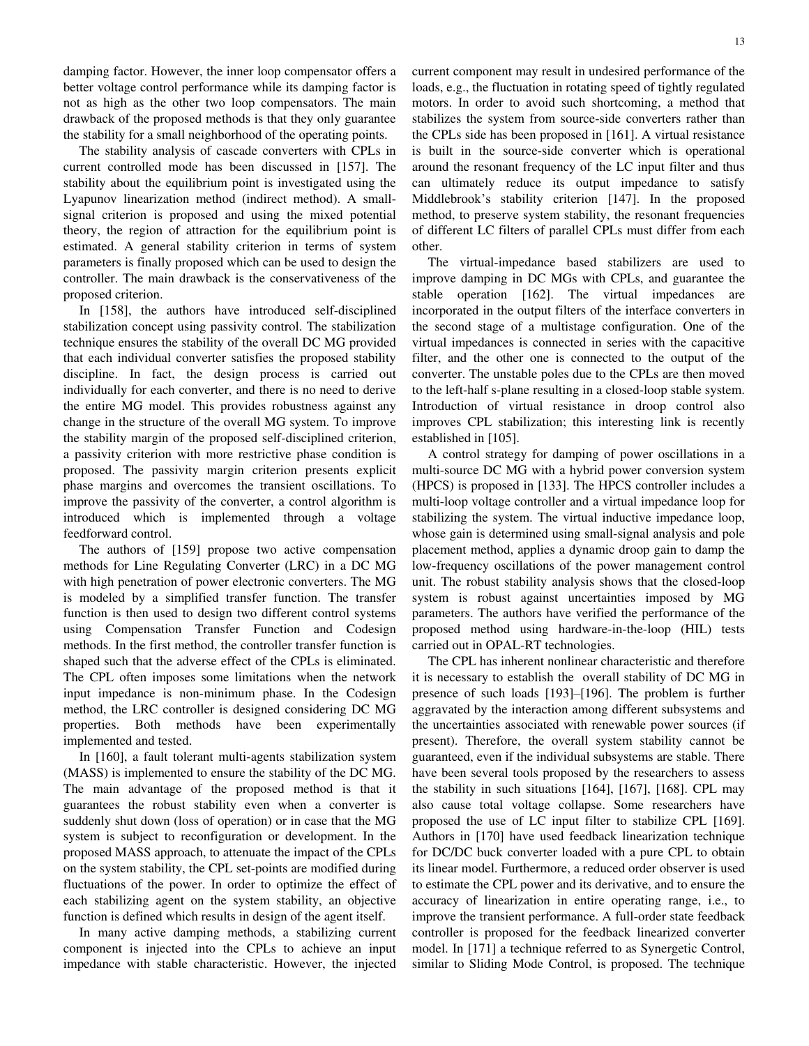damping factor. However, the inner loop compensator offers a better voltage control performance while its damping factor is not as high as the other two loop compensators. The main drawback of the proposed methods is that they only guarantee the stability for a small neighborhood of the operating points.

The stability analysis of cascade converters with CPLs in current controlled mode has been discussed in [157]. The stability about the equilibrium point is investigated using the Lyapunov linearization method (indirect method). A smallsignal criterion is proposed and using the mixed potential theory, the region of attraction for the equilibrium point is estimated. A general stability criterion in terms of system parameters is finally proposed which can be used to design the controller. The main drawback is the conservativeness of the proposed criterion.

In [158], the authors have introduced self-disciplined stabilization concept using passivity control. The stabilization technique ensures the stability of the overall DC MG provided that each individual converter satisfies the proposed stability discipline. In fact, the design process is carried out individually for each converter, and there is no need to derive the entire MG model. This provides robustness against any change in the structure of the overall MG system. To improve the stability margin of the proposed self-disciplined criterion, a passivity criterion with more restrictive phase condition is proposed. The passivity margin criterion presents explicit phase margins and overcomes the transient oscillations. To improve the passivity of the converter, a control algorithm is introduced which is implemented through a voltage feedforward control.

The authors of [159] propose two active compensation methods for Line Regulating Converter (LRC) in a DC MG with high penetration of power electronic converters. The MG is modeled by a simplified transfer function. The transfer function is then used to design two different control systems using Compensation Transfer Function and Codesign methods. In the first method, the controller transfer function is shaped such that the adverse effect of the CPLs is eliminated. The CPL often imposes some limitations when the network input impedance is non-minimum phase. In the Codesign method, the LRC controller is designed considering DC MG properties. Both methods have been experimentally implemented and tested.

In [160], a fault tolerant multi-agents stabilization system (MASS) is implemented to ensure the stability of the DC MG. The main advantage of the proposed method is that it guarantees the robust stability even when a converter is suddenly shut down (loss of operation) or in case that the MG system is subject to reconfiguration or development. In the proposed MASS approach, to attenuate the impact of the CPLs on the system stability, the CPL set-points are modified during fluctuations of the power. In order to optimize the effect of each stabilizing agent on the system stability, an objective function is defined which results in design of the agent itself.

In many active damping methods, a stabilizing current component is injected into the CPLs to achieve an input impedance with stable characteristic. However, the injected current component may result in undesired performance of the loads, e.g., the fluctuation in rotating speed of tightly regulated motors. In order to avoid such shortcoming, a method that stabilizes the system from source-side converters rather than the CPLs side has been proposed in [161]. A virtual resistance is built in the source-side converter which is operational around the resonant frequency of the LC input filter and thus can ultimately reduce its output impedance to satisfy Middlebrook's stability criterion [147]. In the proposed method, to preserve system stability, the resonant frequencies of different LC filters of parallel CPLs must differ from each other.

The virtual-impedance based stabilizers are used to improve damping in DC MGs with CPLs, and guarantee the stable operation [162]. The virtual impedances are incorporated in the output filters of the interface converters in the second stage of a multistage configuration. One of the virtual impedances is connected in series with the capacitive filter, and the other one is connected to the output of the converter. The unstable poles due to the CPLs are then moved to the left-half s-plane resulting in a closed-loop stable system. Introduction of virtual resistance in droop control also improves CPL stabilization; this interesting link is recently established in [105].

A control strategy for damping of power oscillations in a multi-source DC MG with a hybrid power conversion system (HPCS) is proposed in [133]. The HPCS controller includes a multi-loop voltage controller and a virtual impedance loop for stabilizing the system. The virtual inductive impedance loop, whose gain is determined using small-signal analysis and pole placement method, applies a dynamic droop gain to damp the low-frequency oscillations of the power management control unit. The robust stability analysis shows that the closed-loop system is robust against uncertainties imposed by MG parameters. The authors have verified the performance of the proposed method using hardware-in-the-loop (HIL) tests carried out in OPAL-RT technologies.

The CPL has inherent nonlinear characteristic and therefore it is necessary to establish the overall stability of DC MG in presence of such loads [193]–[196]. The problem is further aggravated by the interaction among different subsystems and the uncertainties associated with renewable power sources (if present). Therefore, the overall system stability cannot be guaranteed, even if the individual subsystems are stable. There have been several tools proposed by the researchers to assess the stability in such situations [164], [167], [168]. CPL may also cause total voltage collapse. Some researchers have proposed the use of LC input filter to stabilize CPL [169]. Authors in [170] have used feedback linearization technique for DC/DC buck converter loaded with a pure CPL to obtain its linear model. Furthermore, a reduced order observer is used to estimate the CPL power and its derivative, and to ensure the accuracy of linearization in entire operating range, i.e., to improve the transient performance. A full-order state feedback controller is proposed for the feedback linearized converter model. In [171] a technique referred to as Synergetic Control, similar to Sliding Mode Control, is proposed. The technique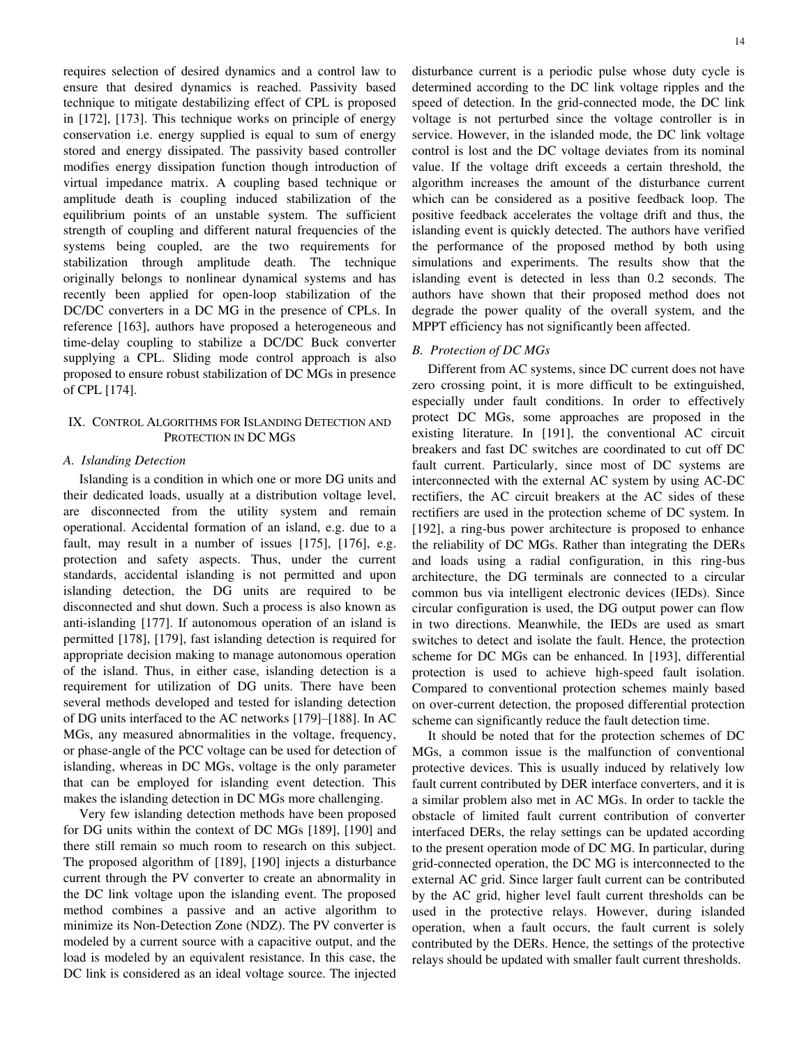requires selection of desired dynamics and a control law to ensure that desired dynamics is reached. Passivity based technique to mitigate destabilizing effect of CPL is proposed in [172], [173]. This technique works on principle of energy conservation i.e. energy supplied is equal to sum of energy stored and energy dissipated. The passivity based controller modifies energy dissipation function though introduction of virtual impedance matrix. A coupling based technique or amplitude death is coupling induced stabilization of the equilibrium points of an unstable system. The sufficient strength of coupling and different natural frequencies of the systems being coupled, are the two requirements for stabilization through amplitude death. The technique originally belongs to nonlinear dynamical systems and has recently been applied for open-loop stabilization of the DC/DC converters in a DC MG in the presence of CPLs. In reference [163], authors have proposed a heterogeneous and time-delay coupling to stabilize a DC/DC Buck converter supplying a CPL. Sliding mode control approach is also proposed to ensure robust stabilization of DC MGs in presence of CPL [174].

# IX. CONTROL ALGORITHMS FOR ISLANDING DETECTION AND PROTECTION IN DC MGS

# *A. Islanding Detection*

Islanding is a condition in which one or more DG units and their dedicated loads, usually at a distribution voltage level, are disconnected from the utility system and remain operational. Accidental formation of an island, e.g. due to a fault, may result in a number of issues [175], [176], e.g. protection and safety aspects. Thus, under the current standards, accidental islanding is not permitted and upon islanding detection, the DG units are required to be disconnected and shut down. Such a process is also known as anti-islanding [177]. If autonomous operation of an island is permitted [178], [179], fast islanding detection is required for appropriate decision making to manage autonomous operation of the island. Thus, in either case, islanding detection is a requirement for utilization of DG units. There have been several methods developed and tested for islanding detection of DG units interfaced to the AC networks [179]–[188]. In AC MGs, any measured abnormalities in the voltage, frequency, or phase-angle of the PCC voltage can be used for detection of islanding, whereas in DC MGs, voltage is the only parameter that can be employed for islanding event detection. This makes the islanding detection in DC MGs more challenging.

Very few islanding detection methods have been proposed for DG units within the context of DC MGs [189], [190] and there still remain so much room to research on this subject. The proposed algorithm of [189], [190] injects a disturbance current through the PV converter to create an abnormality in the DC link voltage upon the islanding event. The proposed method combines a passive and an active algorithm to minimize its Non-Detection Zone (NDZ). The PV converter is modeled by a current source with a capacitive output, and the load is modeled by an equivalent resistance. In this case, the DC link is considered as an ideal voltage source. The injected

disturbance current is a periodic pulse whose duty cycle is determined according to the DC link voltage ripples and the speed of detection. In the grid-connected mode, the DC link voltage is not perturbed since the voltage controller is in service. However, in the islanded mode, the DC link voltage control is lost and the DC voltage deviates from its nominal value. If the voltage drift exceeds a certain threshold, the algorithm increases the amount of the disturbance current which can be considered as a positive feedback loop. The positive feedback accelerates the voltage drift and thus, the islanding event is quickly detected. The authors have verified the performance of the proposed method by both using simulations and experiments. The results show that the islanding event is detected in less than 0.2 seconds. The authors have shown that their proposed method does not degrade the power quality of the overall system, and the MPPT efficiency has not significantly been affected.

## *B. Protection of DC MGs*

Different from AC systems, since DC current does not have zero crossing point, it is more difficult to be extinguished, especially under fault conditions. In order to effectively protect DC MGs, some approaches are proposed in the existing literature. In [191], the conventional AC circuit breakers and fast DC switches are coordinated to cut off DC fault current. Particularly, since most of DC systems are interconnected with the external AC system by using AC-DC rectifiers, the AC circuit breakers at the AC sides of these rectifiers are used in the protection scheme of DC system. In [192], a ring-bus power architecture is proposed to enhance the reliability of DC MGs. Rather than integrating the DERs and loads using a radial configuration, in this ring-bus architecture, the DG terminals are connected to a circular common bus via intelligent electronic devices (IEDs). Since circular configuration is used, the DG output power can flow in two directions. Meanwhile, the IEDs are used as smart switches to detect and isolate the fault. Hence, the protection scheme for DC MGs can be enhanced. In [193], differential protection is used to achieve high-speed fault isolation. Compared to conventional protection schemes mainly based on over-current detection, the proposed differential protection scheme can significantly reduce the fault detection time.

It should be noted that for the protection schemes of DC MGs, a common issue is the malfunction of conventional protective devices. This is usually induced by relatively low fault current contributed by DER interface converters, and it is a similar problem also met in AC MGs. In order to tackle the obstacle of limited fault current contribution of converter interfaced DERs, the relay settings can be updated according to the present operation mode of DC MG. In particular, during grid-connected operation, the DC MG is interconnected to the external AC grid. Since larger fault current can be contributed by the AC grid, higher level fault current thresholds can be used in the protective relays. However, during islanded operation, when a fault occurs, the fault current is solely contributed by the DERs. Hence, the settings of the protective relays should be updated with smaller fault current thresholds.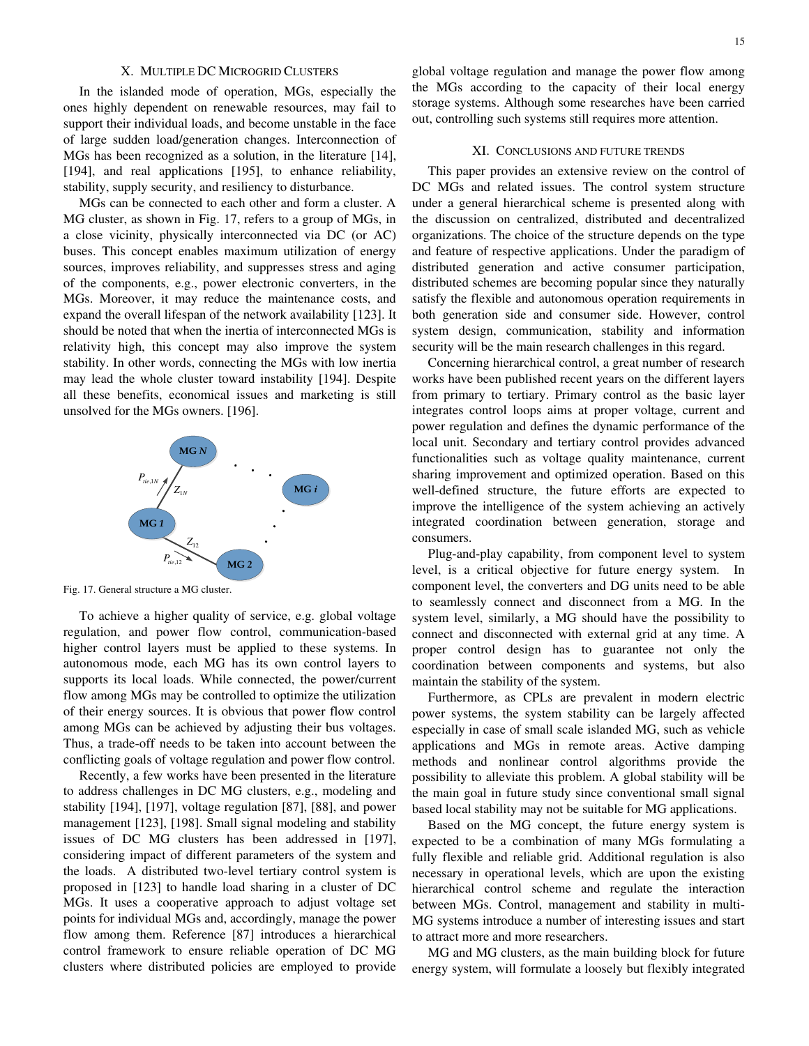#### X. MULTIPLE DC MICROGRID CLUSTERS

In the islanded mode of operation, MGs, especially the ones highly dependent on renewable resources, may fail to support their individual loads, and become unstable in the face of large sudden load/generation changes. Interconnection of MGs has been recognized as a solution, in the literature [14], [194], and real applications [195], to enhance reliability, stability, supply security, and resiliency to disturbance.

MGs can be connected to each other and form a cluster. A MG cluster, as shown in Fig. 17, refers to a group of MGs, in a close vicinity, physically interconnected via DC (or AC) buses. This concept enables maximum utilization of energy sources, improves reliability, and suppresses stress and aging of the components, e.g., power electronic converters, in the MGs. Moreover, it may reduce the maintenance costs, and expand the overall lifespan of the network availability [123]. It should be noted that when the inertia of interconnected MGs is relativity high, this concept may also improve the system stability. In other words, connecting the MGs with low inertia may lead the whole cluster toward instability [194]. Despite all these benefits, economical issues and marketing is still unsolved for the MGs owners. [196].



Fig. 17. General structure a MG cluster.

To achieve a higher quality of service, e.g. global voltage regulation, and power flow control, communication-based higher control layers must be applied to these systems. In autonomous mode, each MG has its own control layers to supports its local loads. While connected, the power/current flow among MGs may be controlled to optimize the utilization of their energy sources. It is obvious that power flow control among MGs can be achieved by adjusting their bus voltages. Thus, a trade-off needs to be taken into account between the conflicting goals of voltage regulation and power flow control.

Recently, a few works have been presented in the literature to address challenges in DC MG clusters, e.g., modeling and stability [194], [197], voltage regulation [87], [88], and power management [123], [198]. Small signal modeling and stability issues of DC MG clusters has been addressed in [197], considering impact of different parameters of the system and the loads. A distributed two-level tertiary control system is proposed in [123] to handle load sharing in a cluster of DC MGs. It uses a cooperative approach to adjust voltage set points for individual MGs and, accordingly, manage the power flow among them. Reference [87] introduces a hierarchical control framework to ensure reliable operation of DC MG clusters where distributed policies are employed to provide global voltage regulation and manage the power flow among the MGs according to the capacity of their local energy storage systems. Although some researches have been carried out, controlling such systems still requires more attention.

## XI. CONCLUSIONS AND FUTURE TRENDS

This paper provides an extensive review on the control of DC MGs and related issues. The control system structure under a general hierarchical scheme is presented along with the discussion on centralized, distributed and decentralized organizations. The choice of the structure depends on the type and feature of respective applications. Under the paradigm of distributed generation and active consumer participation, distributed schemes are becoming popular since they naturally satisfy the flexible and autonomous operation requirements in both generation side and consumer side. However, control system design, communication, stability and information security will be the main research challenges in this regard.

Concerning hierarchical control, a great number of research works have been published recent years on the different layers from primary to tertiary. Primary control as the basic layer integrates control loops aims at proper voltage, current and power regulation and defines the dynamic performance of the local unit. Secondary and tertiary control provides advanced functionalities such as voltage quality maintenance, current sharing improvement and optimized operation. Based on this well-defined structure, the future efforts are expected to improve the intelligence of the system achieving an actively integrated coordination between generation, storage and consumers.

Plug-and-play capability, from component level to system level, is a critical objective for future energy system. In component level, the converters and DG units need to be able to seamlessly connect and disconnect from a MG. In the system level, similarly, a MG should have the possibility to connect and disconnected with external grid at any time. A proper control design has to guarantee not only the coordination between components and systems, but also maintain the stability of the system.

Furthermore, as CPLs are prevalent in modern electric power systems, the system stability can be largely affected especially in case of small scale islanded MG, such as vehicle applications and MGs in remote areas. Active damping methods and nonlinear control algorithms provide the possibility to alleviate this problem. A global stability will be the main goal in future study since conventional small signal based local stability may not be suitable for MG applications.

Based on the MG concept, the future energy system is expected to be a combination of many MGs formulating a fully flexible and reliable grid. Additional regulation is also necessary in operational levels, which are upon the existing hierarchical control scheme and regulate the interaction between MGs. Control, management and stability in multi-MG systems introduce a number of interesting issues and start to attract more and more researchers.

MG and MG clusters, as the main building block for future energy system, will formulate a loosely but flexibly integrated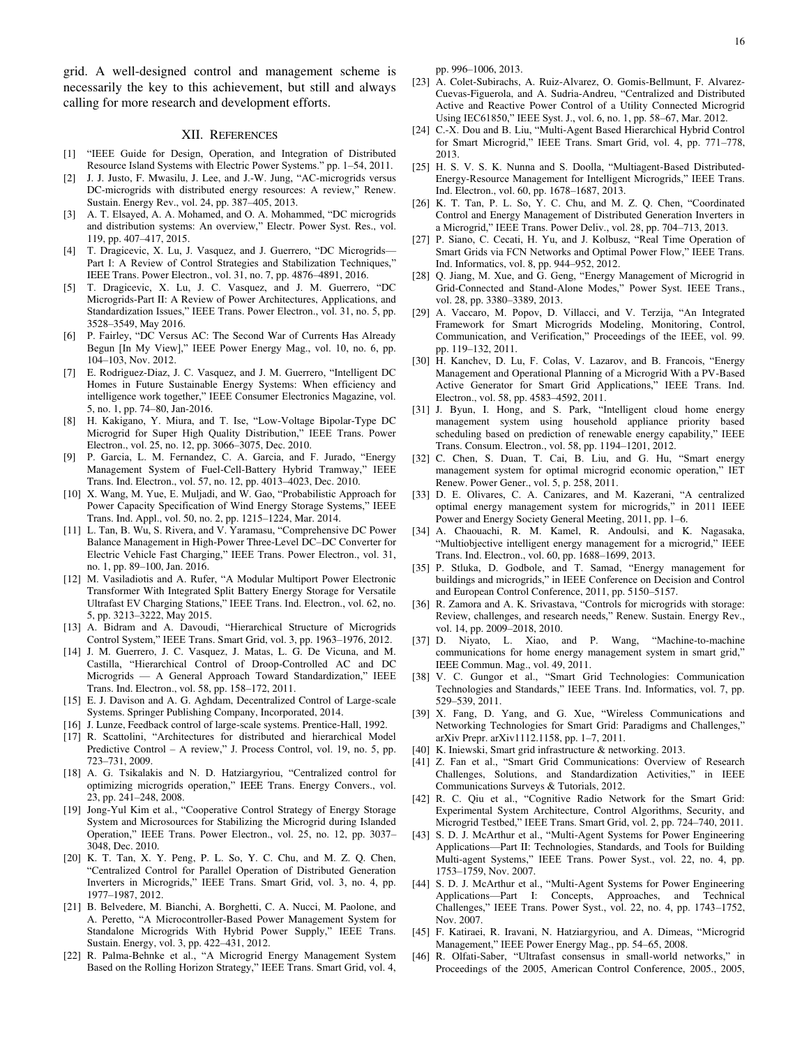grid. A well-designed control and management scheme is necessarily the key to this achievement, but still and always calling for more research and development efforts.

#### XII. REFERENCES

- [1] "IEEE Guide for Design, Operation, and Integration of Distributed Resource Island Systems with Electric Power Systems." pp. 1–54, 2011.
- [2] J. J. Justo, F. Mwasilu, J. Lee, and J.-W. Jung, "AC-microgrids versus DC-microgrids with distributed energy resources: A review," Renew. Sustain. Energy Rev., vol. 24, pp. 387–405, 2013.
- [3] A. T. Elsayed, A. A. Mohamed, and O. A. Mohammed, "DC microgrids and distribution systems: An overview," Electr. Power Syst. Res., vol. 119, pp. 407–417, 2015.
- [4] T. Dragicevic, X. Lu, J. Vasquez, and J. Guerrero, "DC Microgrids-Part I: A Review of Control Strategies and Stabilization Techniques," IEEE Trans. Power Electron., vol. 31, no. 7, pp. 4876–4891, 2016.
- [5] T. Dragicevic, X. Lu, J. C. Vasquez, and J. M. Guerrero, "DC Microgrids-Part II: A Review of Power Architectures, Applications, and Standardization Issues," IEEE Trans. Power Electron., vol. 31, no. 5, pp. 3528–3549, May 2016.
- [6] P. Fairley, "DC Versus AC: The Second War of Currents Has Already Begun [In My View]," IEEE Power Energy Mag., vol. 10, no. 6, pp. 104–103, Nov. 2012.
- E. Rodriguez-Diaz, J. C. Vasquez, and J. M. Guerrero, "Intelligent DC Homes in Future Sustainable Energy Systems: When efficiency and intelligence work together," IEEE Consumer Electronics Magazine, vol. 5, no. 1, pp. 74–80, Jan-2016.
- [8] H. Kakigano, Y. Miura, and T. Ise, "Low-Voltage Bipolar-Type DC Microgrid for Super High Quality Distribution," IEEE Trans. Power Electron., vol. 25, no. 12, pp. 3066–3075, Dec. 2010.
- [9] P. Garcia, L. M. Fernandez, C. A. Garcia, and F. Jurado, "Energy Management System of Fuel-Cell-Battery Hybrid Tramway," IEEE Trans. Ind. Electron., vol. 57, no. 12, pp. 4013–4023, Dec. 2010.
- [10] X. Wang, M. Yue, E. Muljadi, and W. Gao, "Probabilistic Approach for Power Capacity Specification of Wind Energy Storage Systems," IEEE Trans. Ind. Appl., vol. 50, no. 2, pp. 1215–1224, Mar. 2014.
- [11] L. Tan, B. Wu, S. Rivera, and V. Yaramasu, "Comprehensive DC Power Balance Management in High-Power Three-Level DC–DC Converter for Electric Vehicle Fast Charging," IEEE Trans. Power Electron., vol. 31, no. 1, pp. 89–100, Jan. 2016.
- [12] M. Vasiladiotis and A. Rufer, "A Modular Multiport Power Electronic Transformer With Integrated Split Battery Energy Storage for Versatile Ultrafast EV Charging Stations," IEEE Trans. Ind. Electron., vol. 62, no. 5, pp. 3213–3222, May 2015.
- [13] A. Bidram and A. Davoudi, "Hierarchical Structure of Microgrids Control System," IEEE Trans. Smart Grid, vol. 3, pp. 1963–1976, 2012.
- [14] J. M. Guerrero, J. C. Vasquez, J. Matas, L. G. De Vicuna, and M. Castilla, "Hierarchical Control of Droop-Controlled AC and DC Microgrids — A General Approach Toward Standardization," IEEE Trans. Ind. Electron., vol. 58, pp. 158–172, 2011.
- [15] E. J. Davison and A. G. Aghdam, Decentralized Control of Large-scale Systems. Springer Publishing Company, Incorporated, 2014.
- [16] J. Lunze, Feedback control of large-scale systems. Prentice-Hall, 1992.
- [17] R. Scattolini, "Architectures for distributed and hierarchical Model Predictive Control – A review," J. Process Control, vol. 19, no. 5, pp. 723–731, 2009.
- [18] A. G. Tsikalakis and N. D. Hatziargyriou, "Centralized control for optimizing microgrids operation," IEEE Trans. Energy Convers., vol. 23, pp. 241–248, 2008.
- [19] Jong-Yul Kim et al., "Cooperative Control Strategy of Energy Storage System and Microsources for Stabilizing the Microgrid during Islanded Operation," IEEE Trans. Power Electron., vol. 25, no. 12, pp. 3037– 3048, Dec. 2010.
- [20] K. T. Tan, X. Y. Peng, P. L. So, Y. C. Chu, and M. Z. Q. Chen, "Centralized Control for Parallel Operation of Distributed Generation Inverters in Microgrids," IEEE Trans. Smart Grid, vol. 3, no. 4, pp. 1977–1987, 2012.
- [21] B. Belvedere, M. Bianchi, A. Borghetti, C. A. Nucci, M. Paolone, and A. Peretto, "A Microcontroller-Based Power Management System for Standalone Microgrids With Hybrid Power Supply," IEEE Trans. Sustain. Energy, vol. 3, pp. 422–431, 2012.
- [22] R. Palma-Behnke et al., "A Microgrid Energy Management System Based on the Rolling Horizon Strategy," IEEE Trans. Smart Grid, vol. 4,

pp. 996–1006, 2013.

- [23] A. Colet-Subirachs, A. Ruiz-Alvarez, O. Gomis-Bellmunt, F. Alvarez-Cuevas-Figuerola, and A. Sudria-Andreu, "Centralized and Distributed Active and Reactive Power Control of a Utility Connected Microgrid Using IEC61850," IEEE Syst. J., vol. 6, no. 1, pp. 58–67, Mar. 2012.
- [24] C.-X. Dou and B. Liu, "Multi-Agent Based Hierarchical Hybrid Control for Smart Microgrid," IEEE Trans. Smart Grid, vol. 4, pp. 771–778, 2013.
- [25] H. S. V. S. K. Nunna and S. Doolla, "Multiagent-Based Distributed-Energy-Resource Management for Intelligent Microgrids," IEEE Trans. Ind. Electron., vol. 60, pp. 1678–1687, 2013.
- [26] K. T. Tan, P. L. So, Y. C. Chu, and M. Z. Q. Chen, "Coordinated Control and Energy Management of Distributed Generation Inverters in a Microgrid," IEEE Trans. Power Deliv., vol. 28, pp. 704–713, 2013.
- [27] P. Siano, C. Cecati, H. Yu, and J. Kolbusz, "Real Time Operation of Smart Grids via FCN Networks and Optimal Power Flow," IEEE Trans. Ind. Informatics, vol. 8, pp. 944–952, 2012.
- [28] Q. Jiang, M. Xue, and G. Geng, "Energy Management of Microgrid in Grid-Connected and Stand-Alone Modes," Power Syst. IEEE Trans., vol. 28, pp. 3380–3389, 2013.
- [29] A. Vaccaro, M. Popov, D. Villacci, and V. Terzija, "An Integrated Framework for Smart Microgrids Modeling, Monitoring, Control, Communication, and Verification," Proceedings of the IEEE, vol. 99. pp. 119–132, 2011.
- [30] H. Kanchev, D. Lu, F. Colas, V. Lazarov, and B. Francois, "Energy Management and Operational Planning of a Microgrid With a PV-Based Active Generator for Smart Grid Applications," IEEE Trans. Ind. Electron., vol. 58, pp. 4583–4592, 2011.
- [31] J. Byun, I. Hong, and S. Park, "Intelligent cloud home energy management system using household appliance priority based scheduling based on prediction of renewable energy capability," IEEE Trans. Consum. Electron., vol. 58, pp. 1194–1201, 2012.
- [32] C. Chen, S. Duan, T. Cai, B. Liu, and G. Hu, "Smart energy management system for optimal microgrid economic operation," IET Renew. Power Gener., vol. 5, p. 258, 2011.
- [33] D. E. Olivares, C. A. Canizares, and M. Kazerani, "A centralized optimal energy management system for microgrids," in 2011 IEEE Power and Energy Society General Meeting, 2011, pp. 1–6.
- [34] A. Chaouachi, R. M. Kamel, R. Andoulsi, and K. Nagasaka, "Multiobjective intelligent energy management for a microgrid," IEEE Trans. Ind. Electron., vol. 60, pp. 1688–1699, 2013.
- [35] P. Stluka, D. Godbole, and T. Samad, "Energy management for buildings and microgrids," in IEEE Conference on Decision and Control and European Control Conference, 2011, pp. 5150–5157.
- [36] R. Zamora and A. K. Srivastava, "Controls for microgrids with storage: Review, challenges, and research needs," Renew. Sustain. Energy Rev., vol. 14, pp. 2009–2018, 2010.
- [37] D. Niyato, L. Xiao, and P. Wang, "Machine-to-machine communications for home energy management system in smart grid," IEEE Commun. Mag., vol. 49, 2011.
- [38] V. C. Gungor et al., "Smart Grid Technologies: Communication Technologies and Standards," IEEE Trans. Ind. Informatics, vol. 7, pp. 529–539, 2011.
- [39] X. Fang, D. Yang, and G. Xue, "Wireless Communications and Networking Technologies for Smart Grid: Paradigms and Challenges," arXiv Prepr. arXiv1112.1158, pp. 1–7, 2011.
- [40] K. Iniewski, Smart grid infrastructure & networking. 2013.
- [41] Z. Fan et al., "Smart Grid Communications: Overview of Research Challenges, Solutions, and Standardization Activities," in IEEE Communications Surveys & Tutorials, 2012.
- [42] R. C. Qiu et al., "Cognitive Radio Network for the Smart Grid: Experimental System Architecture, Control Algorithms, Security, and Microgrid Testbed," IEEE Trans. Smart Grid, vol. 2, pp. 724–740, 2011.
- [43] S. D. J. McArthur et al., "Multi-Agent Systems for Power Engineering Applications—Part II: Technologies, Standards, and Tools for Building Multi-agent Systems," IEEE Trans. Power Syst., vol. 22, no. 4, pp. 1753–1759, Nov. 2007.
- [44] S. D. J. McArthur et al., "Multi-Agent Systems for Power Engineering Applications—Part I: Concepts, Approaches, and Technical Challenges," IEEE Trans. Power Syst., vol. 22, no. 4, pp. 1743–1752, Nov. 2007.
- [45] F. Katiraei, R. Iravani, N. Hatziargyriou, and A. Dimeas, "Microgrid Management," IEEE Power Energy Mag., pp. 54–65, 2008.
- [46] R. Olfati-Saber, "Ultrafast consensus in small-world networks," in Proceedings of the 2005, American Control Conference, 2005., 2005,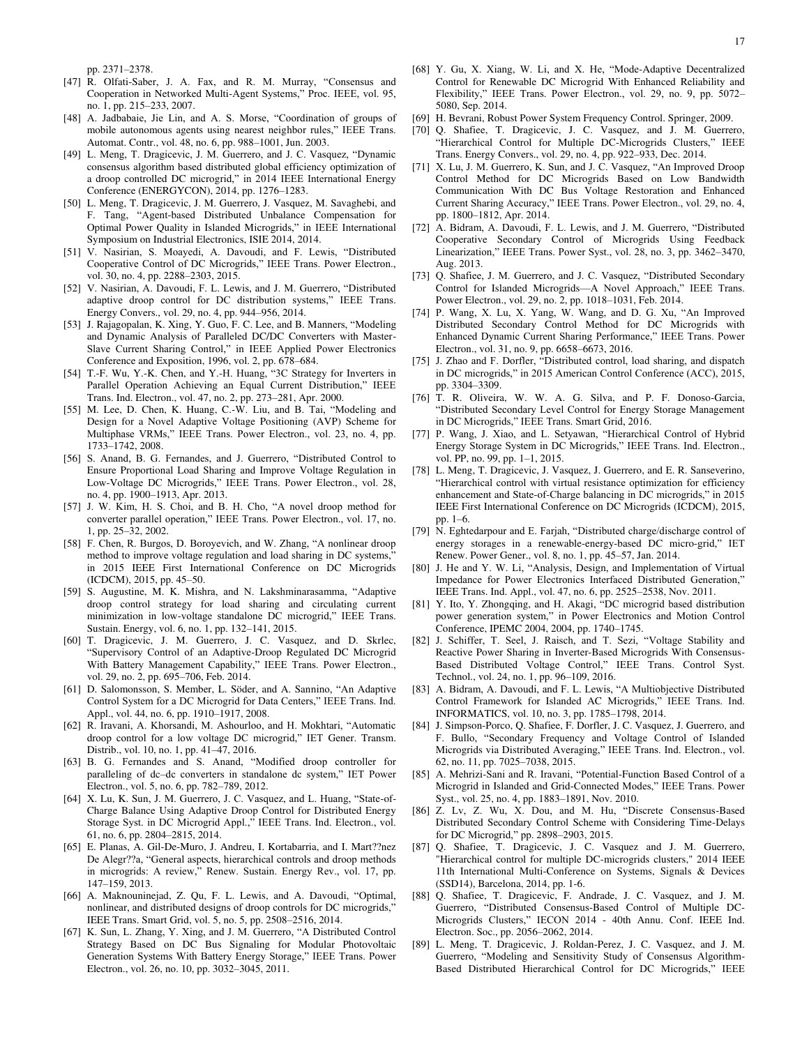pp. 2371–2378.

- [47] R. Olfati-Saber, J. A. Fax, and R. M. Murray, "Consensus and Cooperation in Networked Multi-Agent Systems," Proc. IEEE, vol. 95, no. 1, pp. 215–233, 2007.
- [48] A. Jadbabaie, Jie Lin, and A. S. Morse, "Coordination of groups of mobile autonomous agents using nearest neighbor rules," IEEE Trans. Automat. Contr., vol. 48, no. 6, pp. 988–1001, Jun. 2003.
- [49] L. Meng, T. Dragicevic, J. M. Guerrero, and J. C. Vasquez, "Dynamic consensus algorithm based distributed global efficiency optimization of a droop controlled DC microgrid," in 2014 IEEE International Energy Conference (ENERGYCON), 2014, pp. 1276–1283.
- [50] L. Meng, T. Dragicevic, J. M. Guerrero, J. Vasquez, M. Savaghebi, and F. Tang, "Agent-based Distributed Unbalance Compensation for Optimal Power Quality in Islanded Microgrids," in IEEE International Symposium on Industrial Electronics, ISIE 2014, 2014.
- [51] V. Nasirian, S. Moayedi, A. Davoudi, and F. Lewis, "Distributed Cooperative Control of DC Microgrids," IEEE Trans. Power Electron., vol. 30, no. 4, pp. 2288–2303, 2015.
- [52] V. Nasirian, A. Davoudi, F. L. Lewis, and J. M. Guerrero, "Distributed adaptive droop control for DC distribution systems," IEEE Trans. Energy Convers., vol. 29, no. 4, pp. 944–956, 2014.
- [53] J. Rajagopalan, K. Xing, Y. Guo, F. C. Lee, and B. Manners, "Modeling and Dynamic Analysis of Paralleled DC/DC Converters with Master-Slave Current Sharing Control," in IEEE Applied Power Electronics Conference and Exposition, 1996, vol. 2, pp. 678–684.
- [54] T.-F. Wu, Y.-K. Chen, and Y.-H. Huang, "3C Strategy for Inverters in Parallel Operation Achieving an Equal Current Distribution," IEEE Trans. Ind. Electron., vol. 47, no. 2, pp. 273–281, Apr. 2000.
- [55] M. Lee, D. Chen, K. Huang, C.-W. Liu, and B. Tai, "Modeling and Design for a Novel Adaptive Voltage Positioning (AVP) Scheme for Multiphase VRMs," IEEE Trans. Power Electron., vol. 23, no. 4, pp. 1733–1742, 2008.
- [56] S. Anand, B. G. Fernandes, and J. Guerrero, "Distributed Control to Ensure Proportional Load Sharing and Improve Voltage Regulation in Low-Voltage DC Microgrids," IEEE Trans. Power Electron., vol. 28, no. 4, pp. 1900–1913, Apr. 2013.
- [57] J. W. Kim, H. S. Choi, and B. H. Cho, "A novel droop method for converter parallel operation," IEEE Trans. Power Electron., vol. 17, no. 1, pp. 25–32, 2002.
- [58] F. Chen, R. Burgos, D. Boroyevich, and W. Zhang, "A nonlinear droop method to improve voltage regulation and load sharing in DC systems," in 2015 IEEE First International Conference on DC Microgrids (ICDCM), 2015, pp. 45–50.
- [59] S. Augustine, M. K. Mishra, and N. Lakshminarasamma, "Adaptive droop control strategy for load sharing and circulating current minimization in low-voltage standalone DC microgrid," IEEE Trans. Sustain. Energy, vol. 6, no. 1, pp. 132–141, 2015.
- [60] T. Dragicevic, J. M. Guerrero, J. C. Vasquez, and D. Skrlec, "Supervisory Control of an Adaptive-Droop Regulated DC Microgrid With Battery Management Capability," IEEE Trans. Power Electron., vol. 29, no. 2, pp. 695–706, Feb. 2014.
- [61] D. Salomonsson, S. Member, L. Söder, and A. Sannino, "An Adaptive Control System for a DC Microgrid for Data Centers," IEEE Trans. Ind. Appl., vol. 44, no. 6, pp. 1910–1917, 2008.
- [62] R. Iravani, A. Khorsandi, M. Ashourloo, and H. Mokhtari, "Automatic droop control for a low voltage DC microgrid," IET Gener. Transm. Distrib., vol. 10, no. 1, pp. 41–47, 2016.
- [63] B. G. Fernandes and S. Anand, "Modified droop controller for paralleling of dc–dc converters in standalone dc system," IET Power Electron., vol. 5, no. 6, pp. 782–789, 2012.
- [64] X. Lu, K. Sun, J. M. Guerrero, J. C. Vasquez, and L. Huang, "State-of-Charge Balance Using Adaptive Droop Control for Distributed Energy Storage Syst. in DC Microgrid Appl.," IEEE Trans. Ind. Electron., vol. 61, no. 6, pp. 2804–2815, 2014.
- [65] E. Planas, A. Gil-De-Muro, J. Andreu, I. Kortabarria, and I. Mart??nez De Alegr??a, "General aspects, hierarchical controls and droop methods in microgrids: A review," Renew. Sustain. Energy Rev., vol. 17, pp. 147–159, 2013.
- [66] A. Maknouninejad, Z. Qu, F. L. Lewis, and A. Davoudi, "Optimal, nonlinear, and distributed designs of droop controls for DC microgrids," IEEE Trans. Smart Grid, vol. 5, no. 5, pp. 2508–2516, 2014.
- [67] K. Sun, L. Zhang, Y. Xing, and J. M. Guerrero, "A Distributed Control Strategy Based on DC Bus Signaling for Modular Photovoltaic Generation Systems With Battery Energy Storage," IEEE Trans. Power Electron., vol. 26, no. 10, pp. 3032–3045, 2011.
- [68] Y. Gu, X. Xiang, W. Li, and X. He, "Mode-Adaptive Decentralized Control for Renewable DC Microgrid With Enhanced Reliability and Flexibility," IEEE Trans. Power Electron., vol. 29, no. 9, pp. 5072– 5080, Sep. 2014.
- [69] H. Bevrani, Robust Power System Frequency Control. Springer, 2009.
- [70] Q. Shafiee, T. Dragicevic, J. C. Vasquez, and J. M. Guerrero, "Hierarchical Control for Multiple DC-Microgrids Clusters," IEEE Trans. Energy Convers., vol. 29, no. 4, pp. 922–933, Dec. 2014.
- [71] X. Lu, J. M. Guerrero, K. Sun, and J. C. Vasquez, "An Improved Droop Control Method for DC Microgrids Based on Low Bandwidth Communication With DC Bus Voltage Restoration and Enhanced Current Sharing Accuracy," IEEE Trans. Power Electron., vol. 29, no. 4, pp. 1800–1812, Apr. 2014.
- [72] A. Bidram, A. Davoudi, F. L. Lewis, and J. M. Guerrero, "Distributed Cooperative Secondary Control of Microgrids Using Feedback Linearization," IEEE Trans. Power Syst., vol. 28, no. 3, pp. 3462–3470, Aug. 2013.
- [73] Q. Shafiee, J. M. Guerrero, and J. C. Vasquez, "Distributed Secondary Control for Islanded Microgrids—A Novel Approach," IEEE Trans. Power Electron., vol. 29, no. 2, pp. 1018–1031, Feb. 2014.
- [74] P. Wang, X. Lu, X. Yang, W. Wang, and D. G. Xu, "An Improved Distributed Secondary Control Method for DC Microgrids with Enhanced Dynamic Current Sharing Performance," IEEE Trans. Power Electron., vol. 31, no. 9, pp. 6658–6673, 2016.
- [75] J. Zhao and F. Dorfler, "Distributed control, load sharing, and dispatch in DC microgrids," in 2015 American Control Conference (ACC), 2015, pp. 3304–3309.
- [76] T. R. Oliveira, W. W. A. G. Silva, and P. F. Donoso-Garcia, "Distributed Secondary Level Control for Energy Storage Management in DC Microgrids," IEEE Trans. Smart Grid, 2016.
- [77] P. Wang, J. Xiao, and L. Setyawan, "Hierarchical Control of Hybrid Energy Storage System in DC Microgrids," IEEE Trans. Ind. Electron., vol. PP, no. 99, pp. 1–1, 2015.
- [78] L. Meng, T. Dragicevic, J. Vasquez, J. Guerrero, and E. R. Sanseverino, "Hierarchical control with virtual resistance optimization for efficiency enhancement and State-of-Charge balancing in DC microgrids," in 2015 IEEE First International Conference on DC Microgrids (ICDCM), 2015, pp. 1–6.
- [79] N. Eghtedarpour and E. Farjah, "Distributed charge/discharge control of energy storages in a renewable-energy-based DC micro-grid," IET Renew. Power Gener., vol. 8, no. 1, pp. 45–57, Jan. 2014.
- [80] J. He and Y. W. Li, "Analysis, Design, and Implementation of Virtual Impedance for Power Electronics Interfaced Distributed Generation," IEEE Trans. Ind. Appl., vol. 47, no. 6, pp. 2525–2538, Nov. 2011.
- [81] Y. Ito, Y. Zhongqing, and H. Akagi, "DC microgrid based distribution power generation system," in Power Electronics and Motion Control Conference, IPEMC 2004, 2004, pp. 1740–1745.
- [82] J. Schiffer, T. Seel, J. Raisch, and T. Sezi, "Voltage Stability and Reactive Power Sharing in Inverter-Based Microgrids With Consensus-Based Distributed Voltage Control," IEEE Trans. Control Syst. Technol., vol. 24, no. 1, pp. 96–109, 2016.
- [83] A. Bidram, A. Davoudi, and F. L. Lewis, "A Multiobjective Distributed Control Framework for Islanded AC Microgrids," IEEE Trans. Ind. INFORMATICS, vol. 10, no. 3, pp. 1785–1798, 2014.
- [84] J. Simpson-Porco, Q. Shafiee, F. Dorfler, J. C. Vasquez, J. Guerrero, and F. Bullo, "Secondary Frequency and Voltage Control of Islanded Microgrids via Distributed Averaging," IEEE Trans. Ind. Electron., vol. 62, no. 11, pp. 7025–7038, 2015.
- [85] A. Mehrizi-Sani and R. Iravani, "Potential-Function Based Control of a Microgrid in Islanded and Grid-Connected Modes," IEEE Trans. Power Syst., vol. 25, no. 4, pp. 1883–1891, Nov. 2010.
- [86] Z. Lv, Z. Wu, X. Dou, and M. Hu, "Discrete Consensus-Based Distributed Secondary Control Scheme with Considering Time-Delays for DC Microgrid," pp. 2898–2903, 2015.
- [87] Q. Shafiee, T. Dragicevic, J. C. Vasquez and J. M. Guerrero, "Hierarchical control for multiple DC-microgrids clusters," 2014 IEEE 11th International Multi-Conference on Systems, Signals & Devices (SSD14), Barcelona, 2014, pp. 1-6.
- [88] Q. Shafiee, T. Dragicevic, F. Andrade, J. C. Vasquez, and J. M. Guerrero, "Distributed Consensus-Based Control of Multiple DC-Microgrids Clusters," IECON 2014 - 40th Annu. Conf. IEEE Ind. Electron. Soc., pp. 2056–2062, 2014.
- [89] L. Meng, T. Dragicevic, J. Roldan-Perez, J. C. Vasquez, and J. M. Guerrero, "Modeling and Sensitivity Study of Consensus Algorithm-Based Distributed Hierarchical Control for DC Microgrids," IEEE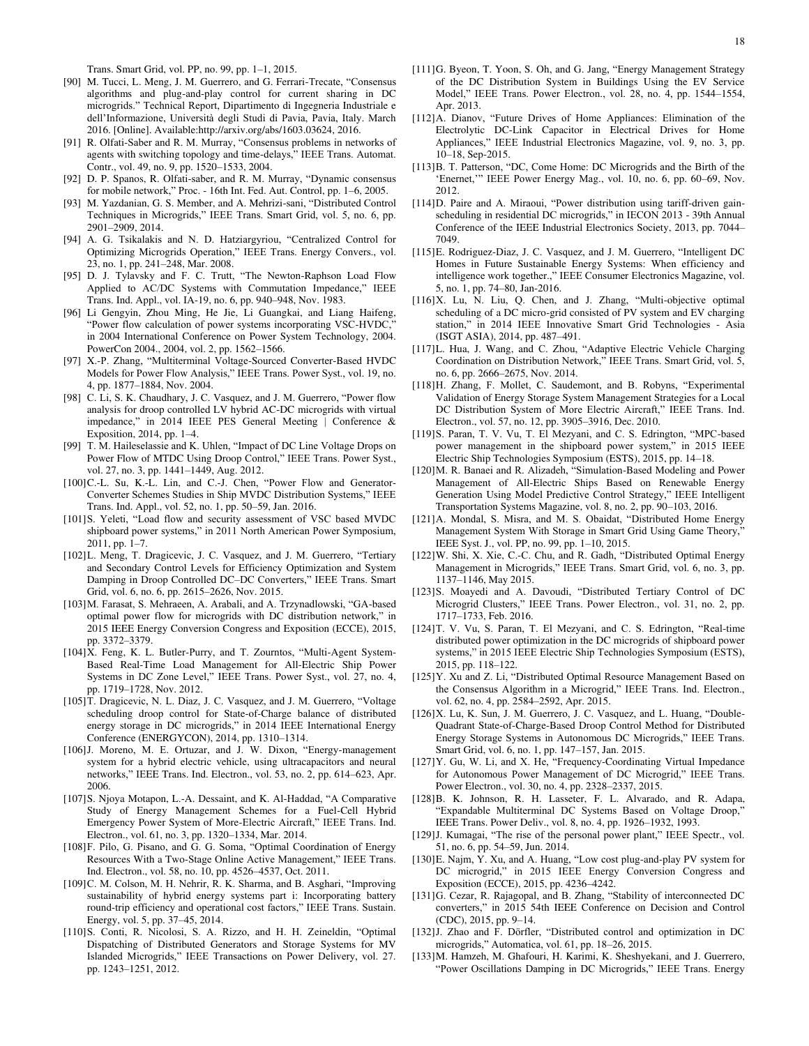Trans. Smart Grid, vol. PP, no. 99, pp. 1–1, 2015.

- [90] M. Tucci, L. Meng, J. M. Guerrero, and G. Ferrari-Trecate, "Consensus algorithms and plug-and-play control for current sharing in DC microgrids." Technical Report, Dipartimento di Ingegneria Industriale e dell'Informazione, Università degli Studi di Pavia, Pavia, Italy. March 2016. [Online]. Available:http://arxiv.org/abs/1603.03624, 2016.
- [91] R. Olfati-Saber and R. M. Murray, "Consensus problems in networks of agents with switching topology and time-delays," IEEE Trans. Automat. Contr., vol. 49, no. 9, pp. 1520–1533, 2004.
- [92] D. P. Spanos, R. Olfati-saber, and R. M. Murray, "Dynamic consensus for mobile network," Proc. - 16th Int. Fed. Aut. Control, pp. 1–6, 2005.
- [93] M. Yazdanian, G. S. Member, and A. Mehrizi-sani, "Distributed Control Techniques in Microgrids," IEEE Trans. Smart Grid, vol. 5, no. 6, pp. 2901–2909, 2014.
- [94] A. G. Tsikalakis and N. D. Hatziargyriou, "Centralized Control for Optimizing Microgrids Operation," IEEE Trans. Energy Convers., vol. 23, no. 1, pp. 241–248, Mar. 2008.
- [95] D. J. Tylavsky and F. C. Trutt, "The Newton-Raphson Load Flow Applied to AC/DC Systems with Commutation Impedance," IEEE Trans. Ind. Appl., vol. IA-19, no. 6, pp. 940–948, Nov. 1983.
- [96] Li Gengyin, Zhou Ming, He Jie, Li Guangkai, and Liang Haifeng, "Power flow calculation of power systems incorporating VSC-HVDC," in 2004 International Conference on Power System Technology, 2004. PowerCon 2004., 2004, vol. 2, pp. 1562–1566.
- [97] X.-P. Zhang, "Multiterminal Voltage-Sourced Converter-Based HVDC Models for Power Flow Analysis," IEEE Trans. Power Syst., vol. 19, no. 4, pp. 1877–1884, Nov. 2004.
- [98] C. Li, S. K. Chaudhary, J. C. Vasquez, and J. M. Guerrero, "Power flow analysis for droop controlled LV hybrid AC-DC microgrids with virtual impedance," in 2014 IEEE PES General Meeting | Conference & Exposition, 2014, pp. 1–4.
- [99] T. M. Haileselassie and K. Uhlen, "Impact of DC Line Voltage Drops on Power Flow of MTDC Using Droop Control," IEEE Trans. Power Syst., vol. 27, no. 3, pp. 1441–1449, Aug. 2012.
- [100] C.-L. Su, K.-L. Lin, and C.-J. Chen, "Power Flow and Generator-Converter Schemes Studies in Ship MVDC Distribution Systems," IEEE Trans. Ind. Appl., vol. 52, no. 1, pp. 50–59, Jan. 2016.
- [101] S. Yeleti, "Load flow and security assessment of VSC based MVDC shipboard power systems," in 2011 North American Power Symposium, 2011, pp. 1–7.
- [102] L. Meng, T. Dragicevic, J. C. Vasquez, and J. M. Guerrero, "Tertiary and Secondary Control Levels for Efficiency Optimization and System Damping in Droop Controlled DC–DC Converters," IEEE Trans. Smart Grid, vol. 6, no. 6, pp. 2615–2626, Nov. 2015.
- [103] M. Farasat, S. Mehraeen, A. Arabali, and A. Trzynadlowski, "GA-based optimal power flow for microgrids with DC distribution network," in 2015 IEEE Energy Conversion Congress and Exposition (ECCE), 2015, pp. 3372–3379.
- [104] X. Feng, K. L. Butler-Purry, and T. Zourntos, "Multi-Agent System-Based Real-Time Load Management for All-Electric Ship Power Systems in DC Zone Level," IEEE Trans. Power Syst., vol. 27, no. 4, pp. 1719–1728, Nov. 2012.
- [105] T. Dragicevic, N. L. Diaz, J. C. Vasquez, and J. M. Guerrero, "Voltage scheduling droop control for State-of-Charge balance of distributed energy storage in DC microgrids," in 2014 IEEE International Energy Conference (ENERGYCON), 2014, pp. 1310–1314.
- [106] J. Moreno, M. E. Ortuzar, and J. W. Dixon, "Energy-management system for a hybrid electric vehicle, using ultracapacitors and neural networks," IEEE Trans. Ind. Electron., vol. 53, no. 2, pp. 614–623, Apr. 2006.
- [107] S. Njoya Motapon, L.-A. Dessaint, and K. Al-Haddad, "A Comparative Study of Energy Management Schemes for a Fuel-Cell Hybrid Emergency Power System of More-Electric Aircraft," IEEE Trans. Ind. Electron., vol. 61, no. 3, pp. 1320–1334, Mar. 2014.
- [108] F. Pilo, G. Pisano, and G. G. Soma, "Optimal Coordination of Energy Resources With a Two-Stage Online Active Management," IEEE Trans. Ind. Electron., vol. 58, no. 10, pp. 4526–4537, Oct. 2011.
- [109] C. M. Colson, M. H. Nehrir, R. K. Sharma, and B. Asghari, "Improving sustainability of hybrid energy systems part i: Incorporating battery round-trip efficiency and operational cost factors," IEEE Trans. Sustain. Energy, vol. 5, pp. 37–45, 2014.
- [110] S. Conti, R. Nicolosi, S. A. Rizzo, and H. H. Zeineldin, "Optimal Dispatching of Distributed Generators and Storage Systems for MV Islanded Microgrids," IEEE Transactions on Power Delivery, vol. 27. pp. 1243–1251, 2012.
- [111] G. Byeon, T. Yoon, S. Oh, and G. Jang, "Energy Management Strategy of the DC Distribution System in Buildings Using the EV Service Model," IEEE Trans. Power Electron., vol. 28, no. 4, pp. 1544–1554, Apr. 2013.
- [112] A. Dianov, "Future Drives of Home Appliances: Elimination of the Electrolytic DC-Link Capacitor in Electrical Drives for Home Appliances," IEEE Industrial Electronics Magazine, vol. 9, no. 3, pp. 10–18, Sep-2015.
- [113] B. T. Patterson, "DC, Come Home: DC Microgrids and the Birth of the 'Enernet,'" IEEE Power Energy Mag., vol. 10, no. 6, pp. 60–69, Nov. 2012.
- [114] D. Paire and A. Miraoui, "Power distribution using tariff-driven gainscheduling in residential DC microgrids," in IECON 2013 - 39th Annual Conference of the IEEE Industrial Electronics Society, 2013, pp. 7044– 7049.
- [115] E. Rodriguez-Diaz, J. C. Vasquez, and J. M. Guerrero, "Intelligent DC Homes in Future Sustainable Energy Systems: When efficiency and intelligence work together.," IEEE Consumer Electronics Magazine, vol. 5, no. 1, pp. 74–80, Jan-2016.
- [116] X. Lu, N. Liu, Q. Chen, and J. Zhang, "Multi-objective optimal scheduling of a DC micro-grid consisted of PV system and EV charging station," in 2014 IEEE Innovative Smart Grid Technologies - Asia (ISGT ASIA), 2014, pp. 487–491.
- [117] L. Hua, J. Wang, and C. Zhou, "Adaptive Electric Vehicle Charging Coordination on Distribution Network," IEEE Trans. Smart Grid, vol. 5, no. 6, pp. 2666–2675, Nov. 2014.
- [118] H. Zhang, F. Mollet, C. Saudemont, and B. Robyns, "Experimental Validation of Energy Storage System Management Strategies for a Local DC Distribution System of More Electric Aircraft," IEEE Trans. Ind. Electron., vol. 57, no. 12, pp. 3905–3916, Dec. 2010.
- [119] S. Paran, T. V. Vu, T. El Mezyani, and C. S. Edrington, "MPC-based power management in the shipboard power system," in 2015 IEEE Electric Ship Technologies Symposium (ESTS), 2015, pp. 14–18.
- [120] M. R. Banaei and R. Alizadeh, "Simulation-Based Modeling and Power Management of All-Electric Ships Based on Renewable Energy Generation Using Model Predictive Control Strategy," IEEE Intelligent Transportation Systems Magazine, vol. 8, no. 2, pp. 90–103, 2016.
- [121] A. Mondal, S. Misra, and M. S. Obaidat, "Distributed Home Energy Management System With Storage in Smart Grid Using Game Theory," IEEE Syst. J., vol. PP, no. 99, pp. 1–10, 2015.
- [122] W. Shi, X. Xie, C.-C. Chu, and R. Gadh, "Distributed Optimal Energy Management in Microgrids," IEEE Trans. Smart Grid, vol. 6, no. 3, pp. 1137–1146, May 2015.
- [123] S. Moayedi and A. Davoudi, "Distributed Tertiary Control of DC Microgrid Clusters," IEEE Trans. Power Electron., vol. 31, no. 2, pp. 1717–1733, Feb. 2016.
- [124] T. V. Vu, S. Paran, T. El Mezyani, and C. S. Edrington, "Real-time distributed power optimization in the DC microgrids of shipboard power systems," in 2015 IEEE Electric Ship Technologies Symposium (ESTS), 2015, pp. 118–122.
- [125] Y. Xu and Z. Li, "Distributed Optimal Resource Management Based on the Consensus Algorithm in a Microgrid," IEEE Trans. Ind. Electron., vol. 62, no. 4, pp. 2584–2592, Apr. 2015.
- [126] X. Lu, K. Sun, J. M. Guerrero, J. C. Vasquez, and L. Huang, "Double-Quadrant State-of-Charge-Based Droop Control Method for Distributed Energy Storage Systems in Autonomous DC Microgrids," IEEE Trans. Smart Grid, vol. 6, no. 1, pp. 147–157, Jan. 2015.
- [127] Y. Gu, W. Li, and X. He, "Frequency-Coordinating Virtual Impedance for Autonomous Power Management of DC Microgrid," IEEE Trans. Power Electron., vol. 30, no. 4, pp. 2328–2337, 2015.
- [128] B. K. Johnson, R. H. Lasseter, F. L. Alvarado, and R. Adapa, "Expandable Multiterminal DC Systems Based on Voltage Droop," IEEE Trans. Power Deliv., vol. 8, no. 4, pp. 1926–1932, 1993.
- [129] J. Kumagai, "The rise of the personal power plant," IEEE Spectr., vol. 51, no. 6, pp. 54–59, Jun. 2014.
- [130] E. Najm, Y. Xu, and A. Huang, "Low cost plug-and-play PV system for DC microgrid," in 2015 IEEE Energy Conversion Congress and Exposition (ECCE), 2015, pp. 4236–4242.
- [131] G. Cezar, R. Rajagopal, and B. Zhang, "Stability of interconnected DC converters," in 2015 54th IEEE Conference on Decision and Control (CDC), 2015, pp. 9–14.
- [132] J. Zhao and F. Dörfler, "Distributed control and optimization in DC microgrids," Automatica, vol. 61, pp. 18–26, 2015.
- [133] M. Hamzeh, M. Ghafouri, H. Karimi, K. Sheshyekani, and J. Guerrero, "Power Oscillations Damping in DC Microgrids," IEEE Trans. Energy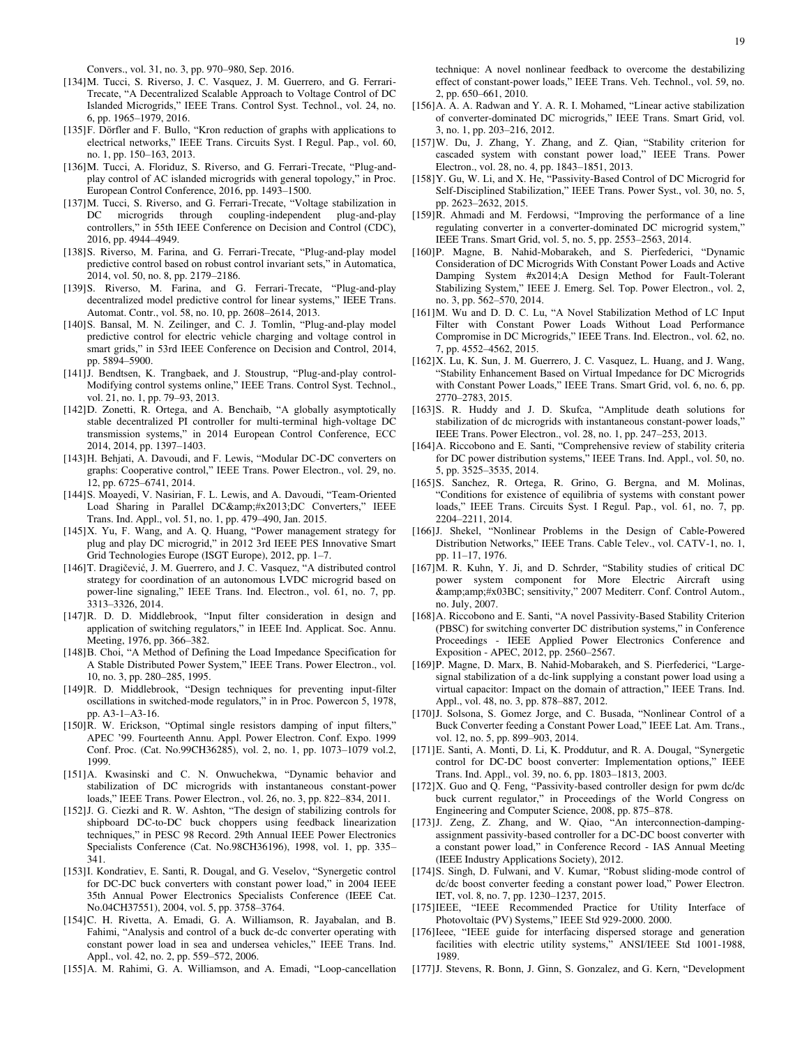Convers., vol. 31, no. 3, pp. 970–980, Sep. 2016.

- [134] M. Tucci, S. Riverso, J. C. Vasquez, J. M. Guerrero, and G. Ferrari-Trecate, "A Decentralized Scalable Approach to Voltage Control of DC Islanded Microgrids," IEEE Trans. Control Syst. Technol., vol. 24, no. 6, pp. 1965–1979, 2016.
- [135] F. Dörfler and F. Bullo, "Kron reduction of graphs with applications to electrical networks," IEEE Trans. Circuits Syst. I Regul. Pap., vol. 60, no. 1, pp. 150–163, 2013.
- [136] M. Tucci, A. Floriduz, S. Riverso, and G. Ferrari-Trecate, "Plug-andplay control of AC islanded microgrids with general topology," in Proc. European Control Conference, 2016, pp. 1493–1500.
- [137] M. Tucci, S. Riverso, and G. Ferrari-Trecate, "Voltage stabilization in DC microgrids through coupling-independent plug-and-play controllers," in 55th IEEE Conference on Decision and Control (CDC), 2016, pp. 4944–4949.
- [138] S. Riverso, M. Farina, and G. Ferrari-Trecate, "Plug-and-play model predictive control based on robust control invariant sets," in Automatica, 2014, vol. 50, no. 8, pp. 2179–2186.
- [139] S. Riverso, M. Farina, and G. Ferrari-Trecate, "Plug-and-play decentralized model predictive control for linear systems," IEEE Trans. Automat. Contr., vol. 58, no. 10, pp. 2608–2614, 2013.
- [140] S. Bansal, M. N. Zeilinger, and C. J. Tomlin, "Plug-and-play model predictive control for electric vehicle charging and voltage control in smart grids," in 53rd IEEE Conference on Decision and Control, 2014, pp. 5894–5900.
- [141] J. Bendtsen, K. Trangbaek, and J. Stoustrup, "Plug-and-play control-Modifying control systems online," IEEE Trans. Control Syst. Technol., vol. 21, no. 1, pp. 79–93, 2013.
- [142] D. Zonetti, R. Ortega, and A. Benchaib, "A globally asymptotically stable decentralized PI controller for multi-terminal high-voltage DC transmission systems," in 2014 European Control Conference, ECC 2014, 2014, pp. 1397–1403.
- [143] H. Behjati, A. Davoudi, and F. Lewis, "Modular DC-DC converters on graphs: Cooperative control," IEEE Trans. Power Electron., vol. 29, no. 12, pp. 6725–6741, 2014.
- [144] S. Moayedi, V. Nasirian, F. L. Lewis, and A. Davoudi, "Team-Oriented Load Sharing in Parallel DC–DC Converters," IEEE Trans. Ind. Appl., vol. 51, no. 1, pp. 479–490, Jan. 2015.
- [145] X. Yu, F. Wang, and A. Q. Huang, "Power management strategy for plug and play DC microgrid," in 2012 3rd IEEE PES Innovative Smart Grid Technologies Europe (ISGT Europe), 2012, pp. 1–7.
- [146] T. Dragičević, J. M. Guerrero, and J. C. Vasquez, "A distributed control strategy for coordination of an autonomous LVDC microgrid based on power-line signaling," IEEE Trans. Ind. Electron., vol. 61, no. 7, pp. 3313–3326, 2014.
- [147] R. D. D. Middlebrook, "Input filter consideration in design and application of switching regulators," in IEEE Ind. Applicat. Soc. Annu. Meeting, 1976, pp. 366–382.
- [148] B. Choi, "A Method of Defining the Load Impedance Specification for A Stable Distributed Power System," IEEE Trans. Power Electron., vol. 10, no. 3, pp. 280–285, 1995.
- [149] R. D. Middlebrook, "Design techniques for preventing input-filter oscillations in switched-mode regulators," in in Proc. Powercon 5, 1978, pp. A3-1–A3-16.
- [150] R. W. Erickson, "Optimal single resistors damping of input filters," APEC '99. Fourteenth Annu. Appl. Power Electron. Conf. Expo. 1999 Conf. Proc. (Cat. No.99CH36285), vol. 2, no. 1, pp. 1073–1079 vol.2, 1999.
- [151] A. Kwasinski and C. N. Onwuchekwa, "Dynamic behavior and stabilization of DC microgrids with instantaneous constant-power loads," IEEE Trans. Power Electron., vol. 26, no. 3, pp. 822–834, 2011.
- [152] J. G. Ciezki and R. W. Ashton, "The design of stabilizing controls for shipboard DC-to-DC buck choppers using feedback linearization techniques," in PESC 98 Record. 29th Annual IEEE Power Electronics Specialists Conference (Cat. No.98CH36196), 1998, vol. 1, pp. 335– 341.
- [153] I. Kondratiev, E. Santi, R. Dougal, and G. Veselov, "Synergetic control for DC-DC buck converters with constant power load," in 2004 IEEE 35th Annual Power Electronics Specialists Conference (IEEE Cat. No.04CH37551), 2004, vol. 5, pp. 3758–3764.
- [154] C. H. Rivetta, A. Emadi, G. A. Williamson, R. Jayabalan, and B. Fahimi, "Analysis and control of a buck dc-dc converter operating with constant power load in sea and undersea vehicles," IEEE Trans. Ind. Appl., vol. 42, no. 2, pp. 559–572, 2006.
- [155] A. M. Rahimi, G. A. Williamson, and A. Emadi, "Loop-cancellation

technique: A novel nonlinear feedback to overcome the destabilizing effect of constant-power loads," IEEE Trans. Veh. Technol., vol. 59, no. 2, pp. 650–661, 2010.

- [156] A. A. A. Radwan and Y. A. R. I. Mohamed, "Linear active stabilization of converter-dominated DC microgrids," IEEE Trans. Smart Grid, vol. 3, no. 1, pp. 203–216, 2012.
- [157] W. Du, J. Zhang, Y. Zhang, and Z. Qian, "Stability criterion for cascaded system with constant power load," IEEE Trans. Power Electron., vol. 28, no. 4, pp. 1843–1851, 2013.
- [158] Y. Gu, W. Li, and X. He, "Passivity-Based Control of DC Microgrid for Self-Disciplined Stabilization," IEEE Trans. Power Syst., vol. 30, no. 5, pp. 2623–2632, 2015.
- [159] R. Ahmadi and M. Ferdowsi, "Improving the performance of a line regulating converter in a converter-dominated DC microgrid system.' IEEE Trans. Smart Grid, vol. 5, no. 5, pp. 2553–2563, 2014.
- [160] P. Magne, B. Nahid-Mobarakeh, and S. Pierfederici, "Dynamic Consideration of DC Microgrids With Constant Power Loads and Active Damping System #x2014;A Design Method for Fault-Tolerant Stabilizing System," IEEE J. Emerg. Sel. Top. Power Electron., vol. 2, no. 3, pp. 562–570, 2014.
- [161] M. Wu and D. D. C. Lu, "A Novel Stabilization Method of LC Input Filter with Constant Power Loads Without Load Performance Compromise in DC Microgrids," IEEE Trans. Ind. Electron., vol. 62, no. 7, pp. 4552–4562, 2015.
- [162] X. Lu, K. Sun, J. M. Guerrero, J. C. Vasquez, L. Huang, and J. Wang, "Stability Enhancement Based on Virtual Impedance for DC Microgrids with Constant Power Loads," IEEE Trans. Smart Grid, vol. 6, no. 6, pp. 2770–2783, 2015.
- [163] S. R. Huddy and J. D. Skufca, "Amplitude death solutions for stabilization of dc microgrids with instantaneous constant-power loads," IEEE Trans. Power Electron., vol. 28, no. 1, pp. 247–253, 2013.
- [164] A. Riccobono and E. Santi, "Comprehensive review of stability criteria for DC power distribution systems," IEEE Trans. Ind. Appl., vol. 50, no. 5, pp. 3525–3535, 2014.
- [165] S. Sanchez, R. Ortega, R. Grino, G. Bergna, and M. Molinas, "Conditions for existence of equilibria of systems with constant power loads," IEEE Trans. Circuits Syst. I Regul. Pap., vol. 61, no. 7, pp. 2204–2211, 2014.
- [166] J. Shekel, "Nonlinear Problems in the Design of Cable-Powered Distribution Networks," IEEE Trans. Cable Telev., vol. CATV-1, no. 1, pp. 11–17, 1976.
- [167] M. R. Kuhn, Y. Ji, and D. Schrder, "Stability studies of critical DC power system component for More Electric Aircraft using μ sensitivity," 2007 Mediterr. Conf. Control Autom., no. July, 2007.
- [168] A. Riccobono and E. Santi, "A novel Passivity-Based Stability Criterion (PBSC) for switching converter DC distribution systems," in Conference Proceedings - IEEE Applied Power Electronics Conference and Exposition - APEC, 2012, pp. 2560–2567.
- [169] P. Magne, D. Marx, B. Nahid-Mobarakeh, and S. Pierfederici, "Largesignal stabilization of a dc-link supplying a constant power load using a virtual capacitor: Impact on the domain of attraction," IEEE Trans. Ind. Appl., vol. 48, no. 3, pp. 878–887, 2012.
- [170] J. Solsona, S. Gomez Jorge, and C. Busada, "Nonlinear Control of a Buck Converter feeding a Constant Power Load," IEEE Lat. Am. Trans., vol. 12, no. 5, pp. 899–903, 2014.
- [171] E. Santi, A. Monti, D. Li, K. Proddutur, and R. A. Dougal, "Synergetic control for DC-DC boost converter: Implementation options," IEEE Trans. Ind. Appl., vol. 39, no. 6, pp. 1803–1813, 2003.
- [172] X. Guo and Q. Feng, "Passivity-based controller design for pwm dc/dc buck current regulator," in Proceedings of the World Congress on Engineering and Computer Science, 2008, pp. 875–878.
- [173] J. Zeng, Z. Zhang, and W. Qiao, "An interconnection-dampingassignment passivity-based controller for a DC-DC boost converter with a constant power load," in Conference Record - IAS Annual Meeting (IEEE Industry Applications Society), 2012.
- [174] S. Singh, D. Fulwani, and V. Kumar, "Robust sliding-mode control of dc/dc boost converter feeding a constant power load," Power Electron. IET, vol. 8, no. 7, pp. 1230–1237, 2015.
- [175] IEEE, "IEEE Recommended Practice for Utility Interface of Photovoltaic (PV) Systems," IEEE Std 929-2000. 2000.
- [176] Ieee, "IEEE guide for interfacing dispersed storage and generation facilities with electric utility systems," ANSI/IEEE Std 1001-1988, 1989.
- [177] J. Stevens, R. Bonn, J. Ginn, S. Gonzalez, and G. Kern, "Development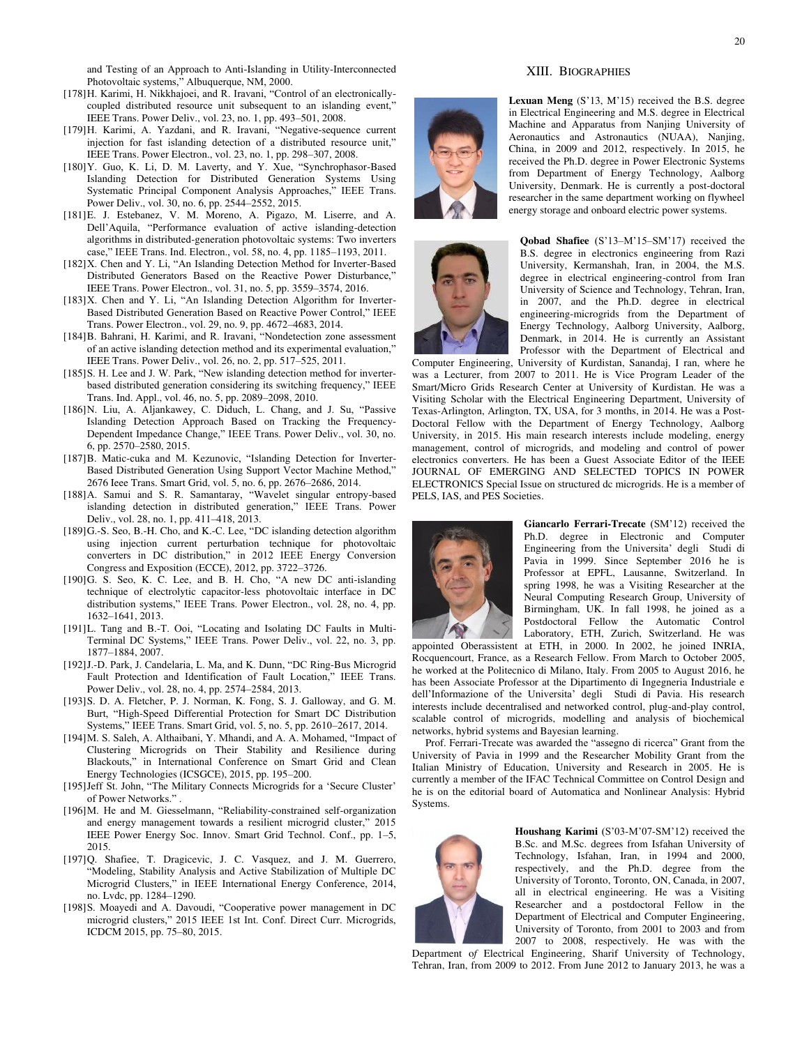and Testing of an Approach to Anti-Islanding in Utility-Interconnected Photovoltaic systems," Albuquerque, NM, 2000.

- [178] H. Karimi, H. Nikkhajoei, and R. Iravani, "Control of an electronicallycoupled distributed resource unit subsequent to an islanding event," IEEE Trans. Power Deliv., vol. 23, no. 1, pp. 493–501, 2008.
- [179] H. Karimi, A. Yazdani, and R. Iravani, "Negative-sequence current injection for fast islanding detection of a distributed resource unit," IEEE Trans. Power Electron., vol. 23, no. 1, pp. 298–307, 2008.
- [180] Y. Guo, K. Li, D. M. Laverty, and Y. Xue, "Synchrophasor-Based Islanding Detection for Distributed Generation Systems Using Systematic Principal Component Analysis Approaches," IEEE Trans. Power Deliv., vol. 30, no. 6, pp. 2544–2552, 2015.
- [181] E. J. Estebanez, V. M. Moreno, A. Pigazo, M. Liserre, and A. Dell'Aquila, "Performance evaluation of active islanding-detection algorithms in distributed-generation photovoltaic systems: Two inverters case," IEEE Trans. Ind. Electron., vol. 58, no. 4, pp. 1185–1193, 2011.
- [182] X. Chen and Y. Li, "An Islanding Detection Method for Inverter-Based Distributed Generators Based on the Reactive Power Disturbance," IEEE Trans. Power Electron., vol. 31, no. 5, pp. 3559–3574, 2016.
- [183] X. Chen and Y. Li, "An Islanding Detection Algorithm for Inverter-Based Distributed Generation Based on Reactive Power Control," IEEE Trans. Power Electron., vol. 29, no. 9, pp. 4672–4683, 2014.
- [184] B. Bahrani, H. Karimi, and R. Iravani, "Nondetection zone assessment of an active islanding detection method and its experimental evaluation," IEEE Trans. Power Deliv., vol. 26, no. 2, pp. 517–525, 2011.
- [185] S. H. Lee and J. W. Park, "New islanding detection method for inverterbased distributed generation considering its switching frequency," IEEE Trans. Ind. Appl., vol. 46, no. 5, pp. 2089–2098, 2010.
- [186] N. Liu, A. Aljankawey, C. Diduch, L. Chang, and J. Su, "Passive Islanding Detection Approach Based on Tracking the Frequency-Dependent Impedance Change," IEEE Trans. Power Deliv., vol. 30, no. 6, pp. 2570–2580, 2015.
- [187] B. Matic-cuka and M. Kezunovic, "Islanding Detection for Inverter-Based Distributed Generation Using Support Vector Machine Method," 2676 Ieee Trans. Smart Grid, vol. 5, no. 6, pp. 2676–2686, 2014.
- [188] A. Samui and S. R. Samantaray, "Wavelet singular entropy-based islanding detection in distributed generation," IEEE Trans. Power Deliv., vol. 28, no. 1, pp. 411–418, 2013.
- [189] G.-S. Seo, B.-H. Cho, and K.-C. Lee, "DC islanding detection algorithm using injection current perturbation technique for photovoltaic converters in DC distribution," in 2012 IEEE Energy Conversion Congress and Exposition (ECCE), 2012, pp. 3722–3726.
- [190] G. S. Seo, K. C. Lee, and B. H. Cho, "A new DC anti-islanding technique of electrolytic capacitor-less photovoltaic interface in DC distribution systems," IEEE Trans. Power Electron., vol. 28, no. 4, pp. 1632–1641, 2013.
- [191] L. Tang and B.-T. Ooi, "Locating and Isolating DC Faults in Multi-Terminal DC Systems," IEEE Trans. Power Deliv., vol. 22, no. 3, pp. 1877–1884, 2007.
- [192] J.-D. Park, J. Candelaria, L. Ma, and K. Dunn, "DC Ring-Bus Microgrid Fault Protection and Identification of Fault Location," IEEE Trans. Power Deliv., vol. 28, no. 4, pp. 2574–2584, 2013.
- [193] S. D. A. Fletcher, P. J. Norman, K. Fong, S. J. Galloway, and G. M. Burt, "High-Speed Differential Protection for Smart DC Distribution Systems," IEEE Trans. Smart Grid, vol. 5, no. 5, pp. 2610–2617, 2014.
- [194] M. S. Saleh, A. Althaibani, Y. Mhandi, and A. A. Mohamed, "Impact of Clustering Microgrids on Their Stability and Resilience during Blackouts," in International Conference on Smart Grid and Clean Energy Technologies (ICSGCE), 2015, pp. 195–200.
- [195] Jeff St. John, "The Military Connects Microgrids for a 'Secure Cluster' of Power Networks." .
- [196] M. He and M. Giesselmann, "Reliability-constrained self-organization and energy management towards a resilient microgrid cluster," 2015 IEEE Power Energy Soc. Innov. Smart Grid Technol. Conf., pp. 1–5, 2015.
- [197] Q. Shafiee, T. Dragicevic, J. C. Vasquez, and J. M. Guerrero, "Modeling, Stability Analysis and Active Stabilization of Multiple DC Microgrid Clusters," in IEEE International Energy Conference, 2014, no. Lvdc, pp. 1284–1290.
- [198] S. Moayedi and A. Davoudi, "Cooperative power management in DC microgrid clusters," 2015 IEEE 1st Int. Conf. Direct Curr. Microgrids, ICDCM 2015, pp. 75–80, 2015.

# XIII. BIOGRAPHIES





**Lexuan Meng** (S'13, M'15) received the B.S. degree in Electrical Engineering and M.S. degree in Electrical Machine and Apparatus from Nanjing University of Aeronautics and Astronautics (NUAA), Nanjing, China, in 2009 and 2012, respectively. In 2015, he received the Ph.D. degree in Power Electronic Systems from Department of Energy Technology, Aalborg University, Denmark. He is currently a post-doctoral researcher in the same department working on flywheel energy storage and onboard electric power systems.

**Qobad Shafiee** (S'13–M'15–SM'17) received the B.S. degree in electronics engineering from Razi University, Kermanshah, Iran, in 2004, the M.S. degree in electrical engineering-control from Iran University of Science and Technology, Tehran, Iran, in 2007, and the Ph.D. degree in electrical engineering-microgrids from the Department of Energy Technology, Aalborg University, Aalborg, Denmark, in 2014. He is currently an Assistant Professor with the Department of Electrical and

Computer Engineering, University of Kurdistan, Sanandaj, I ran, where he was a Lecturer, from 2007 to 2011. He is Vice Program Leader of the Smart/Micro Grids Research Center at University of Kurdistan. He was a Visiting Scholar with the Electrical Engineering Department, University of Texas-Arlington, Arlington, TX, USA, for 3 months, in 2014. He was a Post-Doctoral Fellow with the Department of Energy Technology, Aalborg University, in 2015. His main research interests include modeling, energy management, control of microgrids, and modeling and control of power electronics converters. He has been a Guest Associate Editor of the IEEE JOURNAL OF EMERGING AND SELECTED TOPICS IN POWER ELECTRONICS Special Issue on structured dc microgrids. He is a member of PELS, IAS, and PES Societies.



**Giancarlo Ferrari-Trecate** (SM'12) received the Ph.D. degree in Electronic and Computer Engineering from the Universita' degli Studi di Pavia in 1999. Since September 2016 he is Professor at EPFL, Lausanne, Switzerland. In spring 1998, he was a Visiting Researcher at the Neural Computing Research Group, University of Birmingham, UK. In fall 1998, he joined as a Postdoctoral Fellow the Automatic Control Laboratory, ETH, Zurich, Switzerland. He was

appointed Oberassistent at ETH, in 2000. In 2002, he joined INRIA, Rocquencourt, France, as a Research Fellow. From March to October 2005, he worked at the Politecnico di Milano, Italy. From 2005 to August 2016, he has been Associate Professor at the Dipartimento di Ingegneria Industriale e dell'Informazione of the Universita' degli Studi di Pavia. His research interests include decentralised and networked control, plug-and-play control, scalable control of microgrids, modelling and analysis of biochemical networks, hybrid systems and Bayesian learning.

Prof. Ferrari-Trecate was awarded the "assegno di ricerca" Grant from the University of Pavia in 1999 and the Researcher Mobility Grant from the Italian Ministry of Education, University and Research in 2005. He is currently a member of the IFAC Technical Committee on Control Design and he is on the editorial board of Automatica and Nonlinear Analysis: Hybrid Systems.



**Houshang Karimi** (S'03-M'07-SM'12) received the B.Sc. and M.Sc. degrees from Isfahan University of Technology, Isfahan, Iran, in 1994 and 2000, respectively, and the Ph.D. degree from the University of Toronto, Toronto, ON, Canada, in 2007, all in electrical engineering. He was a Visiting Researcher and a postdoctoral Fellow in the Department of Electrical and Computer Engineering, University of Toronto, from 2001 to 2003 and from 2007 to 2008, respectively. He was with the

Department o*f* Electrical Engineering, Sharif University of Technology, Tehran, Iran, from 2009 to 2012. From June 2012 to January 2013, he was a